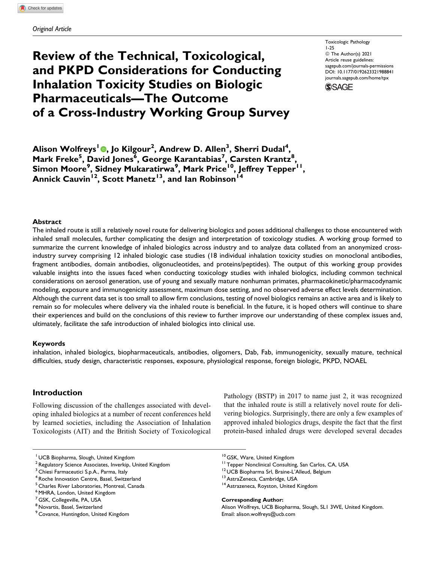# **Review of the Technical, Toxicological, and PKPD Considerations for Conducting Inhalation Toxicity Studies on Biologic Pharmaceuticals—The Outcome of a Cross-Industry Working Group Survey**

Toxicologic Pathology 1-25 © The Author(s) 2021 Article reuse guidelines: [sagepub.com/journals-permissions](https://sagepub.com/journals-permissions) [DOI: 10.1177/0192623321988841](https://doi.org/10.1177/0192623321988841) [journals.sagepub.com/home/tpx](http://journals.sagepub.com/home/tpx)



**Alison Wolfreys<sup>1</sup> [,](https://orcid.org/0000-0003-3678-3660) Jo Kilgour<sup>2</sup> , Andrew D. Allen<sup>3</sup> , Sherri Dudal<sup>4</sup> , Mark Freke<sup>5</sup> , David Jones<sup>6</sup> , George Karantabias<sup>7</sup> , Carsten Krantz<sup>8</sup> , Simon Moore<sup>9</sup> , Sidney Mukaratirwa<sup>9</sup> , Mark Price10, Jeffrey Tepper11,** Annick Cauvin<sup>12</sup>, Scott Manetz<sup>13</sup>, and Ian Robinson<sup>14</sup>

### **Abstract**

The inhaled route is still a relatively novel route for delivering biologics and poses additional challenges to those encountered with inhaled small molecules, further complicating the design and interpretation of toxicology studies. A working group formed to summarize the current knowledge of inhaled biologics across industry and to analyze data collated from an anonymized crossindustry survey comprising 12 inhaled biologic case studies (18 individual inhalation toxicity studies on monoclonal antibodies, fragment antibodies, domain antibodies, oligonucleotides, and proteins/peptides). The output of this working group provides valuable insights into the issues faced when conducting toxicology studies with inhaled biologics, including common technical considerations on aerosol generation, use of young and sexually mature nonhuman primates, pharmacokinetic/pharmacodynamic modeling, exposure and immunogenicity assessment, maximum dose setting, and no observed adverse effect levels determination. Although the current data set is too small to allow firm conclusions, testing of novel biologics remains an active area and is likely to remain so for molecules where delivery via the inhaled route is beneficial. In the future, it is hoped others will continue to share their experiences and build on the conclusions of this review to further improve our understanding of these complex issues and, ultimately, facilitate the safe introduction of inhaled biologics into clinical use.

#### **Keywords**

inhalation, inhaled biologics, biopharmaceuticals, antibodies, oligomers, Dab, Fab, immunogenicity, sexually mature, technical difficulties, study design, characteristic responses, exposure, physiological response, foreign biologic, PKPD, NOAEL

# **Introduction**

Following discussion of the challenges associated with developing inhaled biologics at a number of recent conferences held by learned societies, including the Association of Inhalation Toxicologists (AIT) and the British Society of Toxicological

<sup>1</sup> UCB Biopharma, Slough, United Kingdom

<sup>3</sup> Chiesi Farmaceutici S.p.A., Parma, Italy

<sup>7</sup> GSK, Collegeville, PA, USA

Pathology (BSTP) in 2017 to name just 2, it was recognized that the inhaled route is still a relatively novel route for delivering biologics. Surprisingly, there are only a few examples of approved inhaled biologics drugs, despite the fact that the first protein-based inhaled drugs were developed several decades

**Corresponding Author:**

<sup>&</sup>lt;sup>2</sup> Regulatory Science Associates, Inverkip, United Kingdom

<sup>4</sup> Roche Innovation Centre, Basel, Switzerland

<sup>5</sup> Charles River Laboratories, Montreal, Canada

<sup>&</sup>lt;sup>6</sup> MHRA, London, United Kingdom

<sup>&</sup>lt;sup>8</sup> Novartis, Basel, Switzerland

<sup>9</sup> Covance, Huntingdon, United Kingdom

<sup>&</sup>lt;sup>10</sup> GSK, Ware, United Kingdom<br><sup>11</sup> Tepper Nonclinical Consulting, San Carlos, CA, USA<br><sup>12</sup> UCB Biopharma Srl, Braine-L'Alleud, Belgium<br><sup>13</sup> AstraZeneca, Cambridge, USA 14<br>Astrazeneca, Royston, United Kingdom

Alison Wolfreys, UCB Biopharma, Slough, SL1 3WE, United Kingdom. Email: [alison.wolfreys@ucb.com](mailto:alison.wolfreys@ucb.com)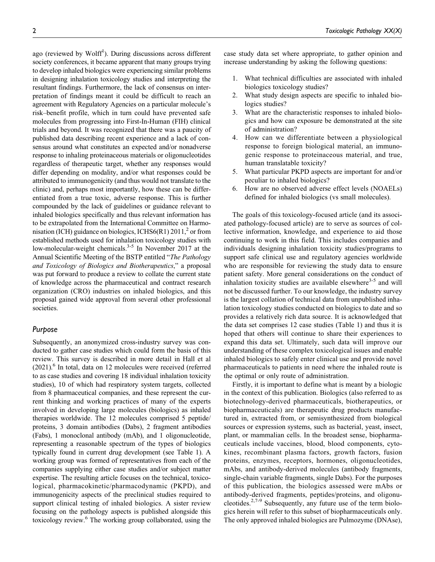ago (reviewed by Wolff<sup>1</sup>). During discussions across different society conferences, it became apparent that many groups trying to develop inhaled biologics were experiencing similar problems in designing inhalation toxicology studies and interpreting the resultant findings. Furthermore, the lack of consensus on interpretation of findings meant it could be difficult to reach an agreement with Regulatory Agencies on a particular molecule's risk–benefit profile, which in turn could have prevented safe molecules from progressing into First-In-Human (FIH) clinical trials and beyond. It was recognized that there was a paucity of published data describing recent experience and a lack of consensus around what constitutes an expected and/or nonadverse response to inhaling proteinaceous materials or oligonucleotides regardless of therapeutic target, whether any responses would differ depending on modality, and/or what responses could be attributed to immunogenicity (and thus would not translate to the clinic) and, perhaps most importantly, how these can be differentiated from a true toxic, adverse response. This is further compounded by the lack of guidelines or guidance relevant to inhaled biologics specifically and thus relevant information has to be extrapolated from the International Committee on Harmonisation (ICH) guidance on biologics, ICHS6(R1) 2011,<sup>2</sup> or from established methods used for inhalation toxicology studies with low-molecular-weight chemicals. $3-5$  In November 2017 at the Annual Scientific Meeting of the BSTP entitled "The Pathology and Toxicology of Biologics and Biotherapeutics," a proposal was put forward to produce a review to collate the current state of knowledge across the pharmaceutical and contract research organization (CRO) industries on inhaled biologics, and this proposal gained wide approval from several other professional societies.

### *Purpose*

Subsequently, an anonymized cross-industry survey was conducted to gather case studies which could form the basis of this review. This survey is described in more detail in Hall et al  $(2021)$ .<sup>6</sup> In total, data on 12 molecules were received (referred to as case studies and covering 18 individual inhalation toxicity studies), 10 of which had respiratory system targets, collected from 8 pharmaceutical companies, and these represent the current thinking and working practices of many of the experts involved in developing large molecules (biologics) as inhaled therapies worldwide. The 12 molecules comprised 5 peptide/ proteins, 3 domain antibodies (Dabs), 2 fragment antibodies (Fabs), 1 monoclonal antibody (mAb), and 1 oligonucleotide, representing a reasonable spectrum of the types of biologics typically found in current drug development (see Table 1). A working group was formed of representatives from each of the companies supplying either case studies and/or subject matter expertise. The resulting article focuses on the technical, toxicological, pharmacokinetic/pharmacodynamic (PKPD), and immunogenicity aspects of the preclinical studies required to support clinical testing of inhaled biologics. A sister review focusing on the pathology aspects is published alongside this toxicology review.6 The working group collaborated, using the case study data set where appropriate, to gather opinion and increase understanding by asking the following questions:

- 1. What technical difficulties are associated with inhaled biologics toxicology studies?
- 2. What study design aspects are specific to inhaled biologics studies?
- 3. What are the characteristic responses to inhaled biologics and how can exposure be demonstrated at the site of administration?
- 4. How can we differentiate between a physiological response to foreign biological material, an immunogenic response to proteinaceous material, and true, human translatable toxicity?
- 5. What particular PKPD aspects are important for and/or peculiar to inhaled biologics?
- 6. How are no observed adverse effect levels (NOAELs) defined for inhaled biologics (vs small molecules).

The goals of this toxicology-focused article (and its associated pathology-focused article) are to serve as sources of collective information, knowledge, and experience to aid those continuing to work in this field. This includes companies and individuals designing inhalation toxicity studies/programs to support safe clinical use and regulatory agencies worldwide who are responsible for reviewing the study data to ensure patient safety. More general considerations on the conduct of inhalation toxicity studies are available elsewhere $3-5$  and will not be discussed further. To our knowledge, the industry survey is the largest collation of technical data from unpublished inhalation toxicology studies conducted on biologics to date and so provides a relatively rich data source. It is acknowledged that the data set comprises 12 case studies (Table 1) and thus it is hoped that others will continue to share their experiences to expand this data set. Ultimately, such data will improve our understanding of these complex toxicological issues and enable inhaled biologics to safely enter clinical use and provide novel pharmaceuticals to patients in need where the inhaled route is the optimal or only route of administration.

Firstly, it is important to define what is meant by a biologic in the context of this publication. Biologics (also referred to as biotechnology-derived pharmaceuticals, biotherapeutics, or biopharmaceuticals) are therapeutic drug products manufactured in, extracted from, or semisynthesized from biological sources or expression systems, such as bacterial, yeast, insect, plant, or mammalian cells. In the broadest sense, biopharmaceuticals include vaccines, blood, blood components, cytokines, recombinant plasma factors, growth factors, fusion proteins, enzymes, receptors, hormones, oligonucleotides, mAbs, and antibody-derived molecules (antibody fragments, single-chain variable fragments, single Dabs). For the purposes of this publication, the biologics assessed were mAbs or antibody-derived fragments, peptides/proteins, and oligonucleotides. $2,7-9$  Subsequently, any future use of the term biologics herein will refer to this subset of biopharmaceuticals only. The only approved inhaled biologics are Pulmozyme (DNAse),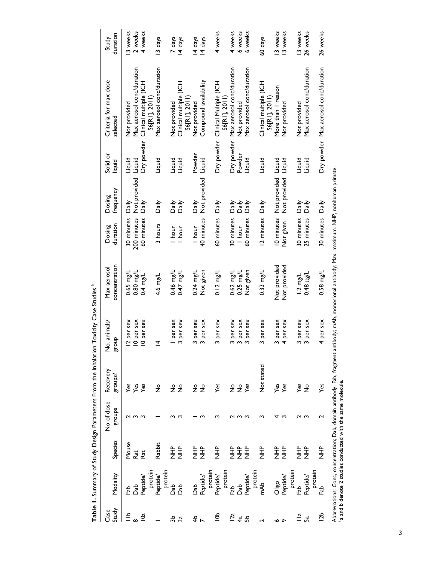| Case                            |                                                            |                                 | No of dose | Recovery      | No. animals/                    | Max aerosol                                                                                                                                      | Dosing      | Dosing       | Solid or   | Criteria for max dose                   | Study    |
|---------------------------------|------------------------------------------------------------|---------------------------------|------------|---------------|---------------------------------|--------------------------------------------------------------------------------------------------------------------------------------------------|-------------|--------------|------------|-----------------------------------------|----------|
| Study                           | Modality                                                   | Species                         | stonbs     | groups?       | dno.18                          | concentration                                                                                                                                    | duration    | frequency    | liquid     | selected                                | duration |
| $\stackrel{\text{d}}{=}$        | 욶                                                          | Mouse                           |            |               | 12 per sex                      | $0.65$ mg/L                                                                                                                                      | 30 minutes  | Daily        | Liquid     | Not provided                            | 13 weeks |
|                                 | និ                                                         | Rat                             |            | yes<br>Yes    | 10 per sex                      | $0.80$ mg/L                                                                                                                                      | 200 minutes | Not provided | Liquid     | Max aerosol conc/duration               | 2 weeks  |
| $\overline{5}$                  | Peptide/                                                   | Rat                             |            | Yes           | 10 per sex                      | $0.4 \text{ mg/L}$                                                                                                                               | 60 minutes  | Daily        | Dry powder | Clinical multiple (ICH                  | 4 weeks  |
|                                 | protein                                                    |                                 |            |               |                                 |                                                                                                                                                  |             |              |            | S6[RI], 2011)                           |          |
|                                 | Peptide/                                                   | Rabbit                          |            | $\frac{1}{2}$ | $\overline{4}$                  | 4.6 mg/L                                                                                                                                         | 3 hours     | Daily        | Liquid     | Max aerosol conc/duration               | 13 days  |
|                                 | protein                                                    |                                 |            |               |                                 |                                                                                                                                                  |             |              |            |                                         |          |
| ಕ್ಲಿ                            | និ                                                         | 。<br>之                          |            | ż             | I per sex                       | 0.46 mg/L                                                                                                                                        | l hour      | Daily        | Liquid     | Not provided                            | 7 days   |
| 3ã                              | da<br>Q                                                    | 。<br>之                          |            | $\frac{9}{2}$ | per sex<br>$\mathbf{\tilde{c}}$ | $0.47$ mg/L                                                                                                                                      | I hour      | Daily        | Liquid     | Clinical multiple (ICH                  | 14 days  |
|                                 |                                                            |                                 |            |               |                                 |                                                                                                                                                  |             |              |            | S6[RI], 2011                            |          |
| $\overset{\bullet}{\textbf{+}}$ | da<br>Dab                                                  | 。<br>之                          |            | ş             | 3 per sex                       | $0.24$ mg/L                                                                                                                                      | l hour      | Daily        | Powder     | Not provided                            | 14 days  |
|                                 | Peptide/                                                   | 。<br>之                          |            | $\frac{1}{2}$ | per sex<br>$\sim$               | Not given                                                                                                                                        | 40 minutes  | Not provided | Liquid     | Compound availability                   | 14 days  |
|                                 | protein                                                    |                                 |            |               |                                 |                                                                                                                                                  |             |              |            |                                         |          |
| ి                               | Peptide/                                                   | 。<br>三                          |            | Yes           | 3 per sex                       | $0.12 \text{ mg/L}$                                                                                                                              | 60 minutes  | Daily        | Dry powder | Clinical Multiple (ICH                  | 4 weeks  |
|                                 | protein                                                    |                                 |            |               |                                 |                                                                                                                                                  |             |              |            | S6[RI], 2011)                           |          |
| $\overline{2a}$                 | 욻                                                          | $\frac{\mathsf{h}}{\mathsf{Z}}$ |            | ž             | 3 per sex                       | 0.62 mg/L                                                                                                                                        | 30 minutes  | Daily        | Dry powder | Max aerosol conc/duration               | 4 weeks  |
| 4ª                              | និ                                                         | 。<br>之                          |            | ş             | 3 per sex                       | $0.25$ mg/L                                                                                                                                      | I hour      | Daily        | Powder     | Not provided                            | 6 weeks  |
| ್ಲಿ                             | Peptide/                                                   | $\frac{P}{Z}$                   |            | Yes           | per sex<br>$\sim$               | Not given                                                                                                                                        | 60 minutes  | Daily        | Liquid     | Max aerosol conc/duration               | 6 weeks  |
|                                 | protein                                                    |                                 |            |               |                                 |                                                                                                                                                  |             |              |            |                                         |          |
| $\mathbf{\tilde{c}}$            | mAb                                                        | 오<br>그<br>그                     |            | Not stated    | 3 per sex                       | $0.33$ mg/L                                                                                                                                      | 12 minutes  | Daily        | Liquid     | Clinical multiple (ICH<br>S6[RI], 2011) | 60 days  |
|                                 | Oligo                                                      | 。<br>之                          |            | Yes           | 3 per sex                       | Not provided                                                                                                                                     | 10 minutes  | Not provided | Liquid     | More than I reason                      | 13 weeks |
| ہ م                             | Peptide/                                                   | 。<br>之                          |            | Yes           | per sex<br>4                    | Not provided                                                                                                                                     | Not given   | Not provided | Liquid     | Not provided                            | 13 weeks |
|                                 | protein                                                    |                                 |            |               |                                 |                                                                                                                                                  |             |              |            |                                         |          |
| $\frac{a}{a}$                   | 욻                                                          | 。<br>之                          |            | Yes           | 3 per sex                       | $1.2 \text{ mg/L}$                                                                                                                               | 30 minutes  | Daily        | Liquid     | Not provided                            | 13 weeks |
| .შ                              | Peptide/                                                   | 오<br>그<br>그                     |            | $\frac{1}{2}$ | per sex<br>$\sim$               | 1/ <sup>81</sup> 8r 0                                                                                                                            | 25 minutes  | Daily        | Liquid     | Max aerosol conc/duration               | 26 weeks |
|                                 | protein                                                    |                                 |            |               |                                 |                                                                                                                                                  |             |              |            |                                         |          |
| $\frac{1}{2}$                   | 욻                                                          | $rac{p}{\overline{z}}$          | م          | Yes           | 4 per sex                       | $0.58$ mg/L                                                                                                                                      | 30 minutes  | Daily        |            | Dry powder Max aerosol conc/duration    | 26 weeks |
|                                 | a and b denote 2 studies conducted with the same molecule. |                                 |            |               |                                 | Abbreviations: Conc, concentration; Dab, domain antibody; Fab, fragment antibody; mAb, monoclonal antibody; Max, maximum; NHP, nonhuman primate. |             |              |            |                                         |          |

Table 1. Summary of Study Design Parameters From the Inhalation Toxicity Case Studies.<sup>2</sup> **Table 1.** Summary of Study Design Parameters From the Inhalation Toxicity Case Studies.<sup>a</sup>

3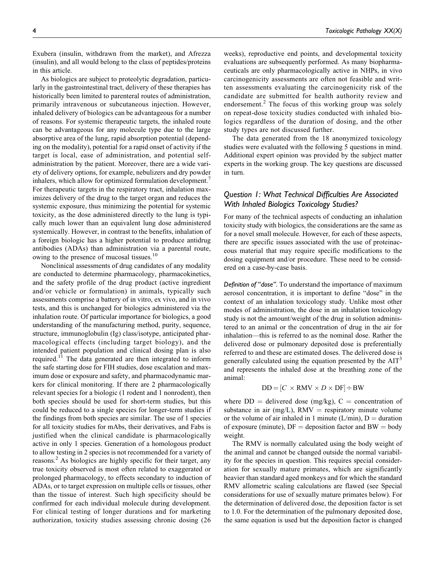Exubera (insulin, withdrawn from the market), and Afrezza (insulin), and all would belong to the class of peptides/proteins in this article.

As biologics are subject to proteolytic degradation, particularly in the gastrointestinal tract, delivery of these therapies has historically been limited to parenteral routes of administration, primarily intravenous or subcutaneous injection. However, inhaled delivery of biologics can be advantageous for a number of reasons. For systemic therapeutic targets, the inhaled route can be advantageous for any molecule type due to the large absorptive area of the lung, rapid absorption potential (depending on the modality), potential for a rapid onset of activity if the target is local, ease of administration, and potential selfadministration by the patient. Moreover, there are a wide variety of delivery options, for example, nebulizers and dry powder inhalers, which allow for optimized formulation development.<sup>7</sup> For therapeutic targets in the respiratory tract, inhalation maximizes delivery of the drug to the target organ and reduces the systemic exposure, thus minimizing the potential for systemic toxicity, as the dose administered directly to the lung is typically much lower than an equivalent lung dose administered systemically. However, in contrast to the benefits, inhalation of a foreign biologic has a higher potential to produce antidrug antibodies (ADAs) than administration via a parental route, owing to the presence of mucosal tissues.<sup>10</sup>

Nonclinical assessments of drug candidates of any modality are conducted to determine pharmacology, pharmacokinetics, and the safety profile of the drug product (active ingredient and/or vehicle or formulation) in animals, typically such assessments comprise a battery of in vitro, ex vivo, and in vivo tests, and this is unchanged for biologics administered via the inhalation route. Of particular importance for biologics, a good understanding of the manufacturing method, purity, sequence, structure, immunoglobulin (Ig) class/isotype, anticipated pharmacological effects (including target biology), and the intended patient population and clinical dosing plan is also required.<sup>11</sup> The data generated are then integrated to inform the safe starting dose for FIH studies, dose escalation and maximum dose or exposure and safety, and pharmacodynamic markers for clinical monitoring. If there are 2 pharmacologically relevant species for a biologic (1 rodent and 1 nonrodent), then both species should be used for short-term studies, but this could be reduced to a single species for longer-term studies if the findings from both species are similar. The use of 1 species for all toxicity studies for mAbs, their derivatives, and Fabs is justified when the clinical candidate is pharmacologically active in only 1 species. Generation of a homologous product to allow testing in 2 species is not recommended for a variety of reasons.<sup>2</sup> As biologics are highly specific for their target, any true toxicity observed is most often related to exaggerated or prolonged pharmacology, to effects secondary to induction of ADAs, or to target expression on multiple cells or tissues, other than the tissue of interest. Such high specificity should be confirmed for each individual molecule during development. For clinical testing of longer durations and for marketing authorization, toxicity studies assessing chronic dosing (26 weeks), reproductive end points, and developmental toxicity evaluations are subsequently performed. As many biopharmaceuticals are only pharmacologically active in NHPs, in vivo carcinogenicity assessments are often not feasible and written assessments evaluating the carcinogenicity risk of the candidate are submitted for health authority review and endorsement. $^{2}$  The focus of this working group was solely on repeat-dose toxicity studies conducted with inhaled biologics regardless of the duration of dosing, and the other study types are not discussed further.

The data generated from the 18 anonymized toxicology studies were evaluated with the following 5 questions in mind. Additional expert opinion was provided by the subject matter experts in the working group. The key questions are discussed in turn.

# *Question 1: What Technical Difficulties Are Associated With Inhaled Biologics Toxicology Studies?*

For many of the technical aspects of conducting an inhalation toxicity study with biologics, the considerations are the same as for a novel small molecule. However, for each of these aspects, there are specific issues associated with the use of proteinaceous material that may require specific modifications to the dosing equipment and/or procedure. These need to be considered on a case-by-case basis.

*Definition of "dose".* To understand the importance of maximum aerosol concentration, it is important to define "dose" in the context of an inhalation toxicology study. Unlike most other modes of administration, the dose in an inhalation toxicology study is not the amount/weight of the drug in solution administered to an animal or the concentration of drug in the air for inhalation—this is referred to as the nominal dose. Rather the delivered dose or pulmonary deposited dose is preferentially referred to and these are estimated doses. The delivered dose is generally calculated using the equation presented by the  $AIT<sup>3</sup>$ and represents the inhaled dose at the breathing zone of the animal:

$$
DD = [C \times \text{RMV} \times D \times \text{DF}] \div \text{BW}
$$

where  $DD =$  delivered dose (mg/kg),  $C =$  concentration of substance in air (mg/L),  $RMV$  = respiratory minute volume or the volume of air inhaled in 1 minute (L/min),  $D =$  duration of exposure (minute),  $DF =$  deposition factor and  $BW =$  body weight.

The RMV is normally calculated using the body weight of the animal and cannot be changed outside the normal variability for the species in question. This requires special consideration for sexually mature primates, which are significantly heavier than standard aged monkeys and for which the standard RMV allometric scaling calculations are flawed (see Special considerations for use of sexually mature primates below). For the determination of delivered dose, the deposition factor is set to 1.0. For the determination of the pulmonary deposited dose, the same equation is used but the deposition factor is changed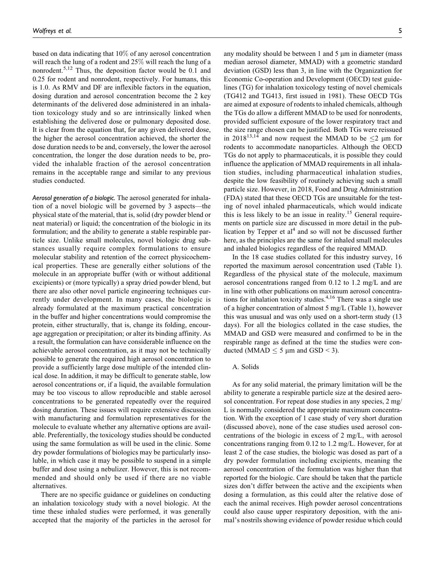based on data indicating that 10% of any aerosol concentration will reach the lung of a rodent and 25% will reach the lung of a nonrodent.<sup>5,12</sup> Thus, the deposition factor would be 0.1 and 0.25 for rodent and nonrodent, respectively. For humans, this is 1.0. As RMV and DF are inflexible factors in the equation, dosing duration and aerosol concentration become the 2 key determinants of the delivered dose administered in an inhalation toxicology study and so are intrinsically linked when establishing the delivered dose or pulmonary deposited dose. It is clear from the equation that, for any given delivered dose, the higher the aerosol concentration achieved, the shorter the dose duration needs to be and, conversely, the lower the aerosol concentration, the longer the dose duration needs to be, provided the inhalable fraction of the aerosol concentration remains in the acceptable range and similar to any previous studies conducted.

*Aerosol generation of a biologic.* The aerosol generated for inhalation of a novel biologic will be governed by 3 aspects—the physical state of the material, that is, solid (dry powder blend or neat material) or liquid; the concentration of the biologic in its formulation; and the ability to generate a stable respirable particle size. Unlike small molecules, novel biologic drug substances usually require complex formulations to ensure molecular stability and retention of the correct physicochemical properties. These are generally either solutions of the molecule in an appropriate buffer (with or without additional excipients) or (more typically) a spray dried powder blend, but there are also other novel particle engineering techniques currently under development. In many cases, the biologic is already formulated at the maximum practical concentration in the buffer and higher concentrations would compromise the protein, either structurally, that is, change its folding, encourage aggregation or precipitation; or alter its binding affinity. As a result, the formulation can have considerable influence on the achievable aerosol concentration, as it may not be technically possible to generate the required high aerosol concentration to provide a sufficiently large dose multiple of the intended clinical dose. In addition, it may be difficult to generate stable, low aerosol concentrations or, if a liquid, the available formulation may be too viscous to allow reproducible and stable aerosol concentrations to be generated repeatedly over the required dosing duration. These issues will require extensive discussion with manufacturing and formulation representatives for the molecule to evaluate whether any alternative options are available. Preferentially, the toxicology studies should be conducted using the same formulation as will be used in the clinic. Some dry powder formulations of biologics may be particularly insoluble, in which case it may be possible to suspend in a simple buffer and dose using a nebulizer. However, this is not recommended and should only be used if there are no viable alternatives.

There are no specific guidance or guidelines on conducting an inhalation toxicology study with a novel biologic. At the time these inhaled studies were performed, it was generally accepted that the majority of the particles in the aerosol for any modality should be between 1 and 5  $\mu$ m in diameter (mass median aerosol diameter, MMAD) with a geometric standard deviation (GSD) less than 3, in line with the Organization for Economic Co-operation and Development (OECD) test guidelines (TG) for inhalation toxicology testing of novel chemicals (TG412 and TG413, first issued in 1981). These OECD TGs are aimed at exposure of rodents to inhaled chemicals, although the TGs do allow a different MMAD to be used for nonrodents, provided sufficient exposure of the lower respiratory tract and the size range chosen can be justified. Both TGs were reissued in 2018<sup>13,14</sup> and now request the MMAD to be  $\leq$   $2 \text{ µm}$  for rodents to accommodate nanoparticles. Although the OECD TGs do not apply to pharmaceuticals, it is possible they could influence the application of MMAD requirements in all inhalation studies, including pharmaceutical inhalation studies, despite the low feasibility of routinely achieving such a small particle size. However, in 2018, Food and Drug Administration (FDA) stated that these OECD TGs are unsuitable for the testing of novel inhaled pharmaceuticals, which would indicate this is less likely to be an issue in reality.<sup>15</sup> General requirements on particle size are discussed in more detail in the publication by Tepper et  $al<sup>4</sup>$  and so will not be discussed further here, as the principles are the same for inhaled small molecules and inhaled biologics regardless of the required MMAD.

In the 18 case studies collated for this industry survey, 16 reported the maximum aerosol concentration used (Table 1). Regardless of the physical state of the molecule, maximum aerosol concentrations ranged from 0.12 to 1.2 mg/L and are in line with other publications on maximum aerosol concentrations for inhalation toxicity studies.4,16 There was a single use of a higher concentration of almost 5 mg/L (Table 1), however this was unusual and was only used on a short-term study (13 days). For all the biologics collated in the case studies, the MMAD and GSD were measured and confirmed to be in the respirable range as defined at the time the studies were conducted (MMAD  $\leq$  5 µm and GSD < 3).

# A. Solids

As for any solid material, the primary limitation will be the ability to generate a respirable particle size at the desired aerosol concentration. For repeat dose studies in any species, 2 mg/ L is normally considered the appropriate maximum concentration. With the exception of 1 case study of very short duration (discussed above), none of the case studies used aerosol concentrations of the biologic in excess of 2 mg/L, with aerosol concentrations ranging from 0.12 to 1.2 mg/L. However, for at least 2 of the case studies, the biologic was dosed as part of a dry powder formulation including excipients, meaning the aerosol concentration of the formulation was higher than that reported for the biologic. Care should be taken that the particle sizes don't differ between the active and the excipients when dosing a formulation, as this could alter the relative dose of each the animal receives. High powder aerosol concentrations could also cause upper respiratory deposition, with the animal's nostrils showing evidence of powder residue which could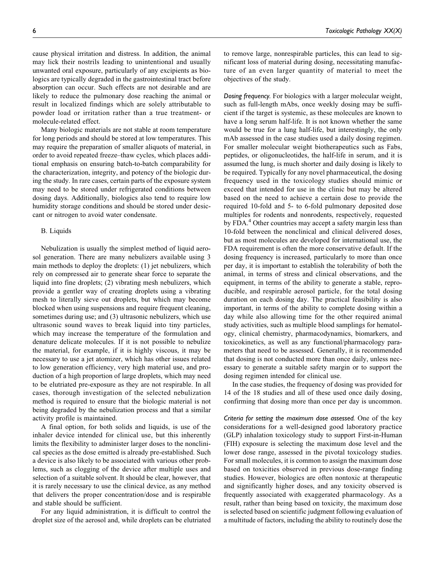cause physical irritation and distress. In addition, the animal may lick their nostrils leading to unintentional and usually unwanted oral exposure, particularly of any excipients as biologics are typically degraded in the gastrointestinal tract before absorption can occur. Such effects are not desirable and are likely to reduce the pulmonary dose reaching the animal or result in localized findings which are solely attributable to powder load or irritation rather than a true treatment- or molecule-related effect.

Many biologic materials are not stable at room temperature for long periods and should be stored at low temperatures. This may require the preparation of smaller aliquots of material, in order to avoid repeated freeze–thaw cycles, which places additional emphasis on ensuring batch-to-batch comparability for the characterization, integrity, and potency of the biologic during the study. In rare cases, certain parts of the exposure system may need to be stored under refrigerated conditions between dosing days. Additionally, biologics also tend to require low humidity storage conditions and should be stored under desiccant or nitrogen to avoid water condensate.

### B. Liquids

Nebulization is usually the simplest method of liquid aerosol generation. There are many nebulizers available using 3 main methods to deploy the droplets: (1) jet nebulizers, which rely on compressed air to generate shear force to separate the liquid into fine droplets; (2) vibrating mesh nebulizers, which provide a gentler way of creating droplets using a vibrating mesh to literally sieve out droplets, but which may become blocked when using suspensions and require frequent cleaning, sometimes during use; and (3) ultrasonic nebulizers, which use ultrasonic sound waves to break liquid into tiny particles, which may increase the temperature of the formulation and denature delicate molecules. If it is not possible to nebulize the material, for example, if it is highly viscous, it may be necessary to use a jet atomizer, which has other issues related to low generation efficiency, very high material use, and production of a high proportion of large droplets, which may need to be elutriated pre-exposure as they are not respirable. In all cases, thorough investigation of the selected nebulization method is required to ensure that the biologic material is not being degraded by the nebulization process and that a similar activity profile is maintained.

A final option, for both solids and liquids, is use of the inhaler device intended for clinical use, but this inherently limits the flexibility to administer larger doses to the nonclinical species as the dose emitted is already pre-established. Such a device is also likely to be associated with various other problems, such as clogging of the device after multiple uses and selection of a suitable solvent. It should be clear, however, that it is rarely necessary to use the clinical device, as any method that delivers the proper concentration/dose and is respirable and stable should be sufficient.

For any liquid administration, it is difficult to control the droplet size of the aerosol and, while droplets can be elutriated to remove large, nonrespirable particles, this can lead to significant loss of material during dosing, necessitating manufacture of an even larger quantity of material to meet the objectives of the study.

*Dosing frequency.* For biologics with a larger molecular weight, such as full-length mAbs, once weekly dosing may be sufficient if the target is systemic, as these molecules are known to have a long serum half-life. It is not known whether the same would be true for a lung half-life, but interestingly, the only mAb assessed in the case studies used a daily dosing regimen. For smaller molecular weight biotherapeutics such as Fabs, peptides, or oligonucleotides, the half-life in serum, and it is assumed the lung, is much shorter and daily dosing is likely to be required. Typically for any novel pharmaceutical, the dosing frequency used in the toxicology studies should mimic or exceed that intended for use in the clinic but may be altered based on the need to achieve a certain dose to provide the required 10-fold and 5- to 6-fold pulmonary deposited dose multiples for rodents and nonrodents, respectively, requested by FDA.<sup>4</sup> Other countries may accept a safety margin less than 10-fold between the nonclinical and clinical delivered doses, but as most molecules are developed for international use, the FDA requirement is often the more conservative default. If the dosing frequency is increased, particularly to more than once per day, it is important to establish the tolerability of both the animal, in terms of stress and clinical observations, and the equipment, in terms of the ability to generate a stable, reproducible, and respirable aerosol particle, for the total dosing duration on each dosing day. The practical feasibility is also important, in terms of the ability to complete dosing within a day while also allowing time for the other required animal study activities, such as multiple blood samplings for hematology, clinical chemistry, pharmacodynamics, biomarkers, and toxicokinetics, as well as any functional/pharmacology parameters that need to be assessed. Generally, it is recommended that dosing is not conducted more than once daily, unless necessary to generate a suitable safety margin or to support the dosing regimen intended for clinical use.

In the case studies, the frequency of dosing was provided for 14 of the 18 studies and all of these used once daily dosing, confirming that dosing more than once per day is uncommon.

*Criteria for setting the maximum dose assessed.* One of the key considerations for a well-designed good laboratory practice (GLP) inhalation toxicology study to support First-in-Human (FIH) exposure is selecting the maximum dose level and the lower dose range, assessed in the pivotal toxicology studies. For small molecules, it is common to assign the maximum dose based on toxicities observed in previous dose-range finding studies. However, biologics are often nontoxic at therapeutic and significantly higher doses, and any toxicity observed is frequently associated with exaggerated pharmacology. As a result, rather than being based on toxicity, the maximum dose is selected based on scientific judgment following evaluation of a multitude of factors, including the ability to routinely dose the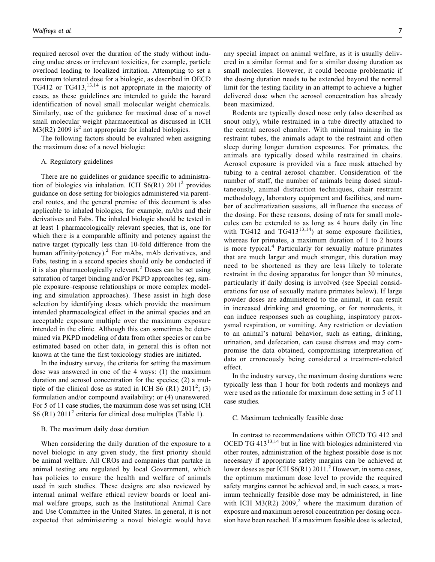required aerosol over the duration of the study without inducing undue stress or irrelevant toxicities, for example, particle overload leading to localized irritation. Attempting to set a maximum tolerated dose for a biologic, as described in OECD TG412 or TG413,<sup>13,14</sup> is not appropriate in the majority of cases, as these guidelines are intended to guide the hazard identification of novel small molecular weight chemicals. Similarly, use of the guidance for maximal dose of a novel small molecular weight pharmaceutical as discussed in ICH  $M3(R2)$  2009 is<sup>2</sup> not appropriate for inhaled biologics.

The following factors should be evaluated when assigning the maximum dose of a novel biologic:

#### A. Regulatory guidelines

There are no guidelines or guidance specific to administration of biologics via inhalation. ICH  $S6(R1)$  2011<sup>2</sup> provides guidance on dose setting for biologics administered via parenteral routes, and the general premise of this document is also applicable to inhaled biologics, for example, mAbs and their derivatives and Fabs. The inhaled biologic should be tested in at least 1 pharmacologically relevant species, that is, one for which there is a comparable affinity and potency against the native target (typically less than 10-fold difference from the human affinity/potency).<sup>2</sup> For mAbs, mAb derivatives, and Fabs, testing in a second species should only be conducted if it is also pharmacologically relevant.<sup>2</sup> Doses can be set using saturation of target binding and/or PKPD approaches (eg, simple exposure–response relationships or more complex modeling and simulation approaches). These assist in high dose selection by identifying doses which provide the maximum intended pharmacological effect in the animal species and an acceptable exposure multiple over the maximum exposure intended in the clinic. Although this can sometimes be determined via PKPD modeling of data from other species or can be estimated based on other data, in general this is often not known at the time the first toxicology studies are initiated.

In the industry survey, the criteria for setting the maximum dose was answered in one of the 4 ways: (1) the maximum duration and aerosol concentration for the species; (2) a multiple of the clinical dose as stated in ICH S6  $(R1)$  2011<sup>2</sup>; (3) formulation and/or compound availability; or (4) unanswered. For 5 of 11 case studies, the maximum dose was set using ICH S6 (R1)  $2011<sup>2</sup>$  criteria for clinical dose multiples (Table 1).

#### B. The maximum daily dose duration

When considering the daily duration of the exposure to a novel biologic in any given study, the first priority should be animal welfare. All CROs and companies that partake in animal testing are regulated by local Government, which has policies to ensure the health and welfare of animals used in such studies. These designs are also reviewed by internal animal welfare ethical review boards or local animal welfare groups, such as the Institutional Animal Care and Use Committee in the United States. In general, it is not expected that administering a novel biologic would have any special impact on animal welfare, as it is usually delivered in a similar format and for a similar dosing duration as small molecules. However, it could become problematic if the dosing duration needs to be extended beyond the normal limit for the testing facility in an attempt to achieve a higher delivered dose when the aerosol concentration has already been maximized.

Rodents are typically dosed nose only (also described as snout only), while restrained in a tube directly attached to the central aerosol chamber. With minimal training in the restraint tubes, the animals adapt to the restraint and often sleep during longer duration exposures. For primates, the animals are typically dosed while restrained in chairs. Aerosol exposure is provided via a face mask attached by tubing to a central aerosol chamber. Consideration of the number of staff, the number of animals being dosed simultaneously, animal distraction techniques, chair restraint methodology, laboratory equipment and facilities, and number of acclimatization sessions, all influence the success of the dosing. For these reasons, dosing of rats for small molecules can be extended to as long as 4 hours daily (in line with TG412 and TG413<sup>13,14</sup>) at some exposure facilities, whereas for primates, a maximum duration of 1 to 2 hours is more typical.<sup>4</sup> Particularly for sexually mature primates that are much larger and much stronger, this duration may need to be shortened as they are less likely to tolerate restraint in the dosing apparatus for longer than 30 minutes, particularly if daily dosing is involved (see Special considerations for use of sexually mature primates below). If large powder doses are administered to the animal, it can result in increased drinking and grooming, or for nonrodents, it can induce responses such as coughing, inspiratory paroxysmal respiration, or vomiting. Any restriction or deviation to an animal's natural behavior, such as eating, drinking, urination, and defecation, can cause distress and may compromise the data obtained, compromising interpretation of data or erroneously being considered a treatment-related effect.

In the industry survey, the maximum dosing durations were typically less than 1 hour for both rodents and monkeys and were used as the rationale for maximum dose setting in 5 of 11 case studies.

### C. Maximum technically feasible dose

In contrast to recommendations within OECD TG 412 and OCED TG  $413^{13,14}$  but in line with biologics administered via other routes, administration of the highest possible dose is not necessary if appropriate safety margins can be achieved at lower doses as per ICH  $S6(R1) 2011$ <sup>2</sup> However, in some cases, the optimum maximum dose level to provide the required safety margins cannot be achieved and, in such cases, a maximum technically feasible dose may be administered, in line with ICH M3(R2)  $2009<sub>i</sub><sup>2</sup>$  where the maximum duration of exposure and maximum aerosol concentration per dosing occasion have been reached. If a maximum feasible dose is selected,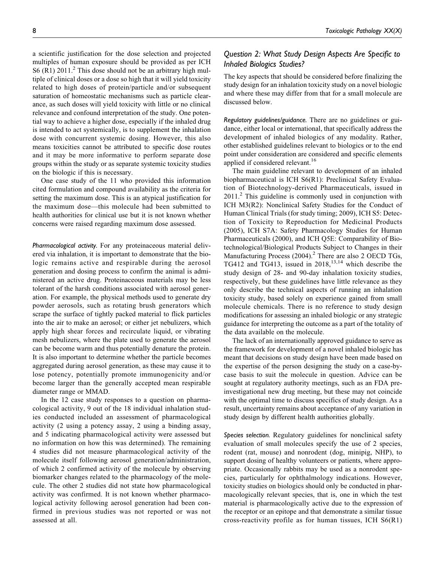a scientific justification for the dose selection and projected multiples of human exposure should be provided as per ICH S6 (R1)  $2011<sup>2</sup>$  This dose should not be an arbitrary high multiple of clinical doses or a dose so high that it will yield toxicity related to high doses of protein/particle and/or subsequent saturation of homeostatic mechanisms such as particle clearance, as such doses will yield toxicity with little or no clinical relevance and confound interpretation of the study. One potential way to achieve a higher dose, especially if the inhaled drug is intended to act systemically, is to supplement the inhalation dose with concurrent systemic dosing. However, this also means toxicities cannot be attributed to specific dose routes and it may be more informative to perform separate dose groups within the study or as separate systemic toxicity studies on the biologic if this is necessary.

One case study of the 11 who provided this information cited formulation and compound availability as the criteria for setting the maximum dose. This is an atypical justification for the maximum dose—this molecule had been submitted to health authorities for clinical use but it is not known whether concerns were raised regarding maximum dose assessed.

*Pharmacological activity.* For any proteinaceous material delivered via inhalation, it is important to demonstrate that the biologic remains active and respirable during the aerosol generation and dosing process to confirm the animal is administered an active drug. Proteinaceous materials may be less tolerant of the harsh conditions associated with aerosol generation. For example, the physical methods used to generate dry powder aerosols, such as rotating brush generators which scrape the surface of tightly packed material to flick particles into the air to make an aerosol; or either jet nebulizers, which apply high shear forces and recirculate liquid, or vibrating mesh nebulizers, where the plate used to generate the aerosol can be become warm and thus potentially denature the protein. It is also important to determine whether the particle becomes aggregated during aerosol generation, as these may cause it to lose potency, potentially promote immunogenicity and/or become larger than the generally accepted mean respirable diameter range or MMAD.

In the 12 case study responses to a question on pharmacological activity, 9 out of the 18 individual inhalation studies conducted included an assessment of pharmacological activity (2 using a potency assay, 2 using a binding assay, and 5 indicating pharmacological activity were assessed but no information on how this was determined). The remaining 4 studies did not measure pharmacological activity of the molecule itself following aerosol generation/administration, of which 2 confirmed activity of the molecule by observing biomarker changes related to the pharmacology of the molecule. The other 2 studies did not state how pharmacological activity was confirmed. It is not known whether pharmacological activity following aerosol generation had been confirmed in previous studies was not reported or was not assessed at all.

# *Question 2: What Study Design Aspects Are Specific to Inhaled Biologics Studies?*

The key aspects that should be considered before finalizing the study design for an inhalation toxicity study on a novel biologic and where these may differ from that for a small molecule are discussed below.

*Regulatory guidelines/guidance.* There are no guidelines or guidance, either local or international, that specifically address the development of inhaled biologics of any modality. Rather, other established guidelines relevant to biologics or to the end point under consideration are considered and specific elements applied if considered relevant.<sup>16</sup>

The main guideline relevant to development of an inhaled biopharmaceutical is ICH S6(R1): Preclinical Safety Evaluation of Biotechnology-derived Pharmaceuticals, issued in  $2011<sup>2</sup>$  This guideline is commonly used in conjunction with ICH M3(R2): Nonclinical Safety Studies for the Conduct of Human Clinical Trials (for study timing; 2009), ICH S5: Detection of Toxicity to Reproduction for Medicinal Products (2005), ICH S7A: Safety Pharmacology Studies for Human Pharmaceuticals (2000), and ICH Q5E: Comparability of Biotechnological/Biological Products Subject to Changes in their Manufacturing Process  $(2004)$ .<sup>2</sup> There are also 2 OECD TGs, TG412 and TG413, issued in  $2018$ ,<sup>13,14</sup> which describe the study design of 28- and 90-day inhalation toxicity studies, respectively, but these guidelines have little relevance as they only describe the technical aspects of running an inhalation toxicity study, based solely on experience gained from small molecule chemicals. There is no reference to study design modifications for assessing an inhaled biologic or any strategic guidance for interpreting the outcome as a part of the totality of the data available on the molecule.

The lack of an internationally approved guidance to serve as the framework for development of a novel inhaled biologic has meant that decisions on study design have been made based on the expertise of the person designing the study on a case-bycase basis to suit the molecule in question. Advice can be sought at regulatory authority meetings, such as an FDA preinvestigational new drug meeting, but these may not coincide with the optimal time to discuss specifics of study design. As a result, uncertainty remains about acceptance of any variation in study design by different health authorities globally.

*Species selection.* Regulatory guidelines for nonclinical safety evaluation of small molecules specify the use of 2 species, rodent (rat, mouse) and nonrodent (dog, minipig, NHP), to support dosing of healthy volunteers or patients, where appropriate. Occasionally rabbits may be used as a nonrodent species, particularly for ophthalmology indications. However, toxicity studies on biologics should only be conducted in pharmacologically relevant species, that is, one in which the test material is pharmacologically active due to the expression of the receptor or an epitope and that demonstrate a similar tissue cross-reactivity profile as for human tissues, ICH  $S6(R1)$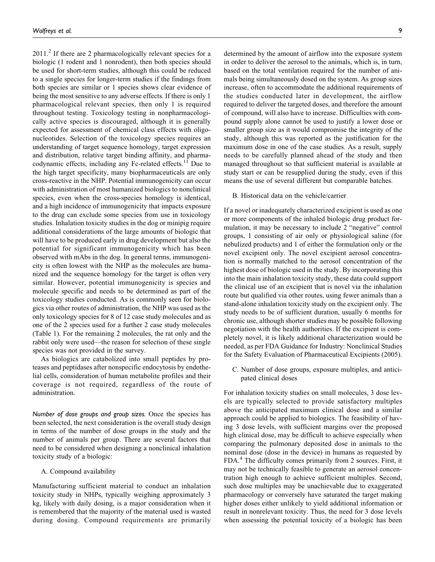$2011<sup>2</sup>$  If there are 2 pharmacologically relevant species for a biologic (1 rodent and 1 nonrodent), then both species should be used for short-term studies, although this could be reduced to a single species for longer-term studies if the findings from both species are similar or 1 species shows clear evidence of being the most sensitive to any adverse effects. If there is only 1 pharmacological relevant species, then only 1 is required throughout testing. Toxicology testing in nonpharmacologically active species is discouraged, although it is generally expected for assessment of chemical class effects with oligonucleotides. Selection of the toxicology species requires an understanding of target sequence homology, target expression and distribution, relative target binding affinity, and pharmacodynamic effects, including any Fc-related effects.<sup>11</sup> Due to the high target specificity, many biopharmaceuticals are only cross-reactive in the NHP. Potential immunogenicity can occur with administration of most humanized biologics to nonclinical species, even when the cross-species homology is identical, and a high incidence of immunogenicity that impacts exposure to the drug can exclude some species from use in toxicology studies. Inhalation toxicity studies in the dog or minipig require additional considerations of the large amounts of biologic that will have to be produced early in drug development but also the potential for significant immunogenicity which has been observed with mAbs in the dog. In general terms, immunogenicity is often lowest with the NHP as the molecules are humanized and the sequence homology for the target is often very similar. However, potential immunogenicity is species and molecule specific and needs to be determined as part of the toxicology studies conducted. As is commonly seen for biologics via other routes of administration, the NHP was used as the only toxicology species for 8 of 12 case study molecules and as one of the 2 species used for a further 2 case study molecules (Table 1). For the remaining 2 molecules, the rat only and the rabbit only were used—the reason for selection of these single species was not provided in the survey.

As biologics are catabolized into small peptides by proteases and peptidases after nonspecific endocytosis by endothelial cells, consideration of human metabolite profiles and their coverage is not required, regardless of the route of administration.

*Number of dose groups and group sizes.* Once the species has been selected, the next consideration is the overall study design in terms of the number of dose groups in the study and the number of animals per group. There are several factors that need to be considered when designing a nonclinical inhalation toxicity study of a biologic:

A. Compound availability

Manufacturing sufficient material to conduct an inhalation toxicity study in NHPs, typically weighing approximately 3 kg, likely with daily dosing, is a major consideration when it is remembered that the majority of the material used is wasted during dosing. Compound requirements are primarily determined by the amount of airflow into the exposure system in order to deliver the aerosol to the animals, which is, in turn, based on the total ventilation required for the number of animals being simultaneously dosed on the system. As group sizes increase, often to accommodate the additional requirements of the studies conducted later in development, the airflow required to deliver the targeted doses, and therefore the amount of compound, will also have to increase. Difficulties with compound supply alone cannot be used to justify a lower dose or smaller group size as it would compromise the integrity of the study, although this was reported as the justification for the maximum dose in one of the case studies. As a result, supply needs to be carefully planned ahead of the study and then managed throughout so that sufficient material is available at study start or can be resupplied during the study, even if this means the use of several different but comparable batches.

### B. Historical data on the vehicle/carrier

If a novel or inadequately characterized excipient is used as one or more components of the inhaled biologic drug product formulation, it may be necessary to include 2 "negative" control groups, 1 consisting of air only or physiological saline (for nebulized products) and 1 of either the formulation only or the novel excipient only. The novel excipient aerosol concentration is normally matched to the aerosol concentration of the highest dose of biologic used in the study. By incorporating this into the main inhalation toxicity study, these data could support the clinical use of an excipient that is novel via the inhalation route but qualified via other routes, using fewer animals than a stand-alone inhalation toxicity study on the excipient only. The study needs to be of sufficient duration, usually 6 months for chronic use, although shorter studies may be possible following negotiation with the health authorities. If the excipient is completely novel, it is likely additional characterization would be needed, as per FDA Guidance for Industry: Nonclinical Studies for the Safety Evaluation of Pharmaceutical Excipients (2005).

C. Number of dose groups, exposure multiples, and anticipated clinical doses

For inhalation toxicity studies on small molecules, 3 dose levels are typically selected to provide satisfactory multiples above the anticipated maximum clinical dose and a similar approach could be applied to biologics. The feasibility of having 3 dose levels, with sufficient margins over the proposed high clinical dose, may be difficult to achieve especially when comparing the pulmonary deposited dose in animals to the nominal dose (dose in the device) in humans as requested by FDA.<sup>4</sup> The difficulty comes primarily from 2 sources. First, it may not be technically feasible to generate an aerosol concentration high enough to achieve sufficient multiples. Second, such dose multiples may be unachievable due to exaggerated pharmacology or conversely have saturated the target making higher doses either unlikely to yield additional information or result in nonrelevant toxicity. Thus, the need for 3 dose levels when assessing the potential toxicity of a biologic has been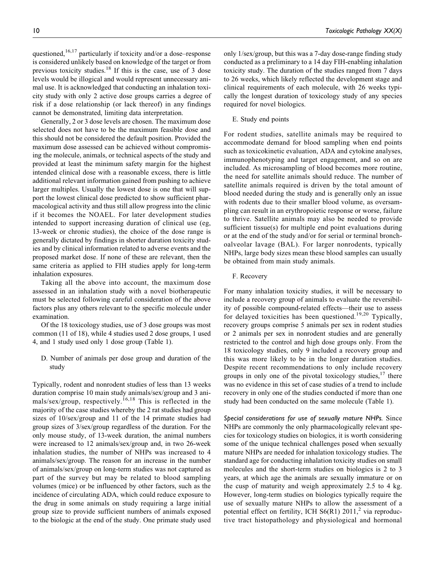previous toxicity studies.18 If this is the case, use of 3 dose levels would be illogical and would represent unnecessary animal use. It is acknowledged that conducting an inhalation toxicity study with only 2 active dose groups carries a degree of risk if a dose relationship (or lack thereof) in any findings cannot be demonstrated, limiting data interpretation.

Generally, 2 or 3 dose levels are chosen. The maximum dose selected does not have to be the maximum feasible dose and this should not be considered the default position. Provided the maximum dose assessed can be achieved without compromising the molecule, animals, or technical aspects of the study and provided at least the minimum safety margin for the highest intended clinical dose with a reasonable excess, there is little additional relevant information gained from pushing to achieve larger multiples. Usually the lowest dose is one that will support the lowest clinical dose predicted to show sufficient pharmacological activity and thus still allow progress into the clinic if it becomes the NOAEL. For later development studies intended to support increasing duration of clinical use (eg, 13-week or chronic studies), the choice of the dose range is generally dictated by findings in shorter duration toxicity studies and by clinical information related to adverse events and the proposed market dose. If none of these are relevant, then the same criteria as applied to FIH studies apply for long-term inhalation exposures.

Taking all the above into account, the maximum dose assessed in an inhalation study with a novel biotherapeutic must be selected following careful consideration of the above factors plus any others relevant to the specific molecule under examination.

Of the 18 toxicology studies, use of 3 dose groups was most common (11 of 18), while 4 studies used 2 dose groups, 1 used 4, and 1 study used only 1 dose group (Table 1).

D. Number of animals per dose group and duration of the study

Typically, rodent and nonrodent studies of less than 13 weeks duration comprise 10 main study animals/sex/group and 3 animals/sex/group, respectively.<sup>16,18</sup> This is reflected in the majority of the case studies whereby the 2 rat studies had group sizes of 10/sex/group and 11 of the 14 primate studies had group sizes of 3/sex/group regardless of the duration. For the only mouse study, of 13-week duration, the animal numbers were increased to 12 animals/sex/group and, in two 26-week inhalation studies, the number of NHPs was increased to 4 animals/sex/group. The reason for an increase in the number of animals/sex/group on long-term studies was not captured as part of the survey but may be related to blood sampling volumes (mice) or be influenced by other factors, such as the incidence of circulating ADA, which could reduce exposure to the drug in some animals on study requiring a large initial group size to provide sufficient numbers of animals exposed to the biologic at the end of the study. One primate study used only 1/sex/group, but this was a 7-day dose-range finding study conducted as a preliminary to a 14 day FIH-enabling inhalation toxicity study. The duration of the studies ranged from 7 days to 26 weeks, which likely reflected the development stage and clinical requirements of each molecule, with 26 weeks typically the longest duration of toxicology study of any species required for novel biologics.

#### E. Study end points

For rodent studies, satellite animals may be required to accommodate demand for blood sampling when end points such as toxicokinetic evaluation, ADA and cytokine analyses, immunophenotyping and target engagement, and so on are included. As microsampling of blood becomes more routine, the need for satellite animals should reduce. The number of satellite animals required is driven by the total amount of blood needed during the study and is generally only an issue with rodents due to their smaller blood volume, as oversampling can result in an erythropoietic response or worse, failure to thrive. Satellite animals may also be needed to provide sufficient tissue(s) for multiple end point evaluations during or at the end of the study and/or for serial or terminal bronchoalveolar lavage (BAL). For larger nonrodents, typically NHPs, large body sizes mean these blood samples can usually be obtained from main study animals.

F. Recovery

For many inhalation toxicity studies, it will be necessary to include a recovery group of animals to evaluate the reversibility of possible compound-related effects—their use to assess for delayed toxicities has been questioned.<sup>19,20</sup> Typically, recovery groups comprise 5 animals per sex in rodent studies or 2 animals per sex in nonrodent studies and are generally restricted to the control and high dose groups only. From the 18 toxicology studies, only 9 included a recovery group and this was more likely to be in the longer duration studies. Despite recent recommendations to only include recovery groups in only one of the pivotal toxicology studies,  $17$  there was no evidence in this set of case studies of a trend to include recovery in only one of the studies conducted if more than one study had been conducted on the same molecule (Table 1).

*Special considerations for use of sexually mature NHPs.* Since NHPs are commonly the only pharmacologically relevant species for toxicology studies on biologics, it is worth considering some of the unique technical challenges posed when sexually mature NHPs are needed for inhalation toxicology studies. The standard age for conducting inhalation toxicity studies on small molecules and the short-term studies on biologics is 2 to 3 years, at which age the animals are sexually immature or on the cusp of maturity and weigh approximately 2.5 to 4 kg. However, long-term studies on biologics typically require the use of sexually mature NHPs to allow the assessment of a potential effect on fertility, ICH  $S6(R1)$  2011,<sup>2</sup> via reproductive tract histopathology and physiological and hormonal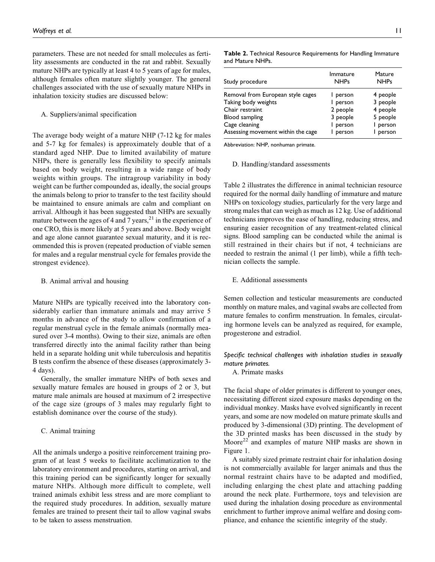parameters. These are not needed for small molecules as fertility assessments are conducted in the rat and rabbit. Sexually mature NHPs are typically at least 4 to 5 years of age for males, although females often mature slightly younger. The general challenges associated with the use of sexually mature NHPs in inhalation toxicity studies are discussed below:

#### A. Suppliers/animal specification

The average body weight of a mature NHP (7-12 kg for males and 5-7 kg for females) is approximately double that of a standard aged NHP. Due to limited availability of mature NHPs, there is generally less flexibility to specify animals based on body weight, resulting in a wide range of body weights within groups. The intragroup variability in body weight can be further compounded as, ideally, the social groups the animals belong to prior to transfer to the test facility should be maintained to ensure animals are calm and compliant on arrival. Although it has been suggested that NHPs are sexually mature between the ages of 4 and 7 years,  $2<sup>1</sup>$  in the experience of one CRO, this is more likely at 5 years and above. Body weight and age alone cannot guarantee sexual maturity, and it is recommended this is proven (repeated production of viable semen for males and a regular menstrual cycle for females provide the strongest evidence).

### B. Animal arrival and housing

Mature NHPs are typically received into the laboratory considerably earlier than immature animals and may arrive 5 months in advance of the study to allow confirmation of a regular menstrual cycle in the female animals (normally measured over 3-4 months). Owing to their size, animals are often transferred directly into the animal facility rather than being held in a separate holding unit while tuberculosis and hepatitis B tests confirm the absence of these diseases (approximately 3- 4 days).

Generally, the smaller immature NHPs of both sexes and sexually mature females are housed in groups of 2 or 3, but mature male animals are housed at maximum of 2 irrespective of the cage size (groups of 3 males may regularly fight to establish dominance over the course of the study).

#### C. Animal training

All the animals undergo a positive reinforcement training program of at least 5 weeks to facilitate acclimatization to the laboratory environment and procedures, starting on arrival, and this training period can be significantly longer for sexually mature NHPs. Although more difficult to complete, well trained animals exhibit less stress and are more compliant to the required study procedures. In addition, sexually mature females are trained to present their tail to allow vaginal swabs to be taken to assess menstruation.

| Study procedure                    | Immature<br><b>NHPs</b> | Mature<br><b>NHPs</b> |
|------------------------------------|-------------------------|-----------------------|
| Removal from European style cages  | I person                | 4 people              |
| Taking body weights                | I person                | 3 people              |
| Chair restraint                    | 2 people                | 4 people              |
| Blood sampling                     | 3 people                | 5 people              |
| Cage cleaning                      | I person                | person                |
| Assessing movement within the cage | person                  | person                |

**Table 2.** Technical Resource Requirements for Handling Immature

Abbreviation: NHP, nonhuman primate.

and Mature NHPs.

#### D. Handling/standard assessments

Table 2 illustrates the difference in animal technician resource required for the normal daily handling of immature and mature NHPs on toxicology studies, particularly for the very large and strong males that can weigh as much as 12 kg. Use of additional technicians improves the ease of handling, reducing stress, and ensuring easier recognition of any treatment-related clinical signs. Blood sampling can be conducted while the animal is still restrained in their chairs but if not, 4 technicians are needed to restrain the animal (1 per limb), while a fifth technician collects the sample.

#### E. Additional assessments

Semen collection and testicular measurements are conducted monthly on mature males, and vaginal swabs are collected from mature females to confirm menstruation. In females, circulating hormone levels can be analyzed as required, for example, progesterone and estradiol.

# *Specific technical challenges with inhalation studies in sexually mature primates.*

A. Primate masks

The facial shape of older primates is different to younger ones, necessitating different sized exposure masks depending on the individual monkey. Masks have evolved significantly in recent years, and some are now modeled on mature primate skulls and produced by 3-dimensional (3D) printing. The development of the 3D printed masks has been discussed in the study by Moore<sup>22</sup> and examples of mature NHP masks are shown in Figure 1.

A suitably sized primate restraint chair for inhalation dosing is not commercially available for larger animals and thus the normal restraint chairs have to be adapted and modified, including enlarging the chest plate and attaching padding around the neck plate. Furthermore, toys and television are used during the inhalation dosing procedure as environmental enrichment to further improve animal welfare and dosing compliance, and enhance the scientific integrity of the study.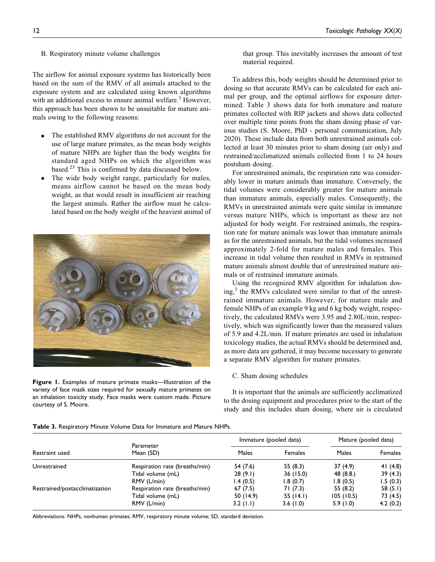#### B. Respiratory minute volume challenges

The airflow for animal exposure systems has historically been based on the sum of the RMV of all animals attached to the exposure system and are calculated using known algorithms with an additional excess to ensure animal welfare.<sup>3</sup> However, this approach has been shown to be unsuitable for mature animals owing to the following reasons:

- The established RMV algorithms do not account for the use of large mature primates, as the mean body weights of mature NHPs are higher than the body weights for standard aged NHPs on which the algorithm was based. $^{23}$  This is confirmed by data discussed below.
- The wide body weight range, particularly for males, means airflow cannot be based on the mean body weight, as that would result in insufficient air reaching the largest animals. Rather the airflow must be calculated based on the body weight of the heaviest animal of



**Figure 1.** Examples of mature primate masks—Illustration of the variety of face mask sizes required for sexually mature primates on an inhalation toxicity study. Face masks were custom made. Picture courtesy of S. Moore.

that group. This inevitably increases the amount of test material required.

To address this, body weights should be determined prior to dosing so that accurate RMVs can be calculated for each animal per group, and the optimal airflows for exposure determined. Table 3 shows data for both immature and mature primates collected with RIP jackets and shows data collected over multiple time points from the sham dosing phase of various studies (S. Moore, PhD - personal communication, July 2020). These include data from both unrestrained animals collected at least 30 minutes prior to sham dosing (air only) and restrained/acclimatized animals collected from 1 to 24 hours postsham dosing.

For unrestrained animals, the respiration rate was considerably lower in mature animals than immature. Conversely, the tidal volumes were considerably greater for mature animals than immature animals, especially males. Consequently, the RMVs in unrestrained animals were quite similar in immature versus mature NHPs, which is important as these are not adjusted for body weight. For restrained animals, the respiration rate for mature animals was lower than immature animals as for the unrestrained animals, but the tidal volumes increased approximately 2-fold for mature males and females. This increase in tidal volume then resulted in RMVs in restrained mature animals almost double that of unrestrained mature animals or of restrained immature animals.

Using the recognized RMV algorithm for inhalation dos $ing<sub>1</sub><sup>3</sup>$  the RMVs calculated were similar to that of the unrestrained immature animals. However, for mature male and female NHPs of an example 9 kg and 6 kg body weight, respectively, the calculated RMVs were 3.95 and 2.80L/min, respectively, which was significantly lower than the measured values of 5.9 and 4.2L/min. If mature primates are used in inhalation toxicology studies, the actual RMVs should be determined and, as more data are gathered, it may become necessary to generate a separate RMV algorithm for mature primates.

#### C. Sham dosing schedules

It is important that the animals are sufficiently acclimatized to the dosing equipment and procedures prior to the start of the study and this includes sham dosing, where air is circulated

| <b>Table 3.</b> Respiratory Minute Volume Data for Immature and Mature NHPs. |  |
|------------------------------------------------------------------------------|--|
|------------------------------------------------------------------------------|--|

|                                |                                |             | Immature (pooled data) | Mature (pooled data) |                |
|--------------------------------|--------------------------------|-------------|------------------------|----------------------|----------------|
| Restraint used                 | Parameter<br>Mean (SD)         | Males       | <b>Females</b>         | Males                | <b>Females</b> |
| Unrestrained                   | Respiration rate (breaths/min) | 54 (7.6)    | 55(8.3)                | 37(4.9)              | 41 $(4.8)$     |
|                                | Tidal volume (mL)              | 28(9.1)     | 36(15.0)               | 48(8.8)              | 39(4.3)        |
|                                | RMV (L/min)                    | 1.4(0.5)    | 1.8(0.7)               | 1.8(0.5)             | 1.5(0.3)       |
| Restrained/postacclimatization | Respiration rate (breaths/min) | 67(7.5)     | 71 (7.3)               | 55(8.2)              | 58 $(5.1)$     |
|                                | Tidal volume (mL)              | 50(14.9)    | 55(14.1)               | 105(10.5)            | 73 (4.5)       |
|                                | RMV (L/min)                    | $3.2$ (1.1) | 3.6(1.0)               | 5.9(1.0)             | 4.2(0.2)       |

Abbreviations: NHPs, nonhuman primates; RMV, respiratory minute volume; SD, standard deviation.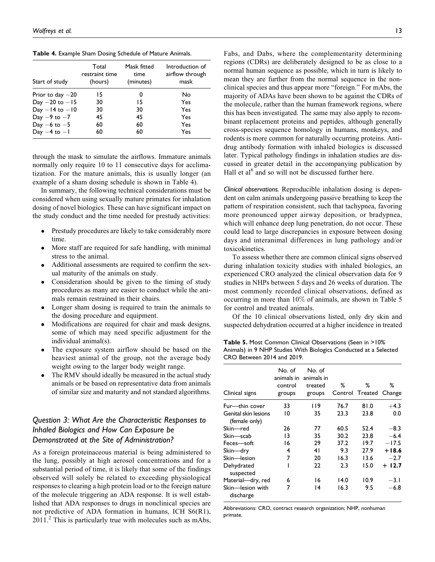**Table 4.** Example Sham Dosing Schedule of Mature Animals.

| Start of study      | Total<br>restraint time<br>(hours) | Mask fitted<br>time<br>(minutes) | Introduction of<br>airflow through<br>mask |
|---------------------|------------------------------------|----------------------------------|--------------------------------------------|
| Prior to day $-20$  | 15                                 | 0                                | No                                         |
| Day $-20$ to $-15$  | 30                                 | 15                               | Yes                                        |
| $Day - 14$ to $-10$ | 30                                 | 30                               | Yes                                        |
| Day $-9$ to $-7$    | 45                                 | 45                               | Yes                                        |
| Day $-6$ to $-5$    | 60                                 | 60                               | Yes                                        |
| Day $-4$ to $-1$    | 60                                 | 60                               | Yes                                        |

through the mask to simulate the airflows. Immature animals normally only require 10 to 11 consecutive days for acclimatization. For the mature animals, this is usually longer (an example of a sham dosing schedule is shown in Table 4).

In summary, the following technical considerations must be considered when using sexually mature primates for inhalation dosing of novel biologics. These can have significant impact on the study conduct and the time needed for prestudy activities:

- Prestudy procedures are likely to take considerably more time.
- More staff are required for safe handling, with minimal stress to the animal.
- Additional assessments are required to confirm the sexual maturity of the animals on study.
- Consideration should be given to the timing of study procedures as many are easier to conduct while the animals remain restrained in their chairs.
- Longer sham dosing is required to train the animals to the dosing procedure and equipment.
- Modifications are required for chair and mask designs, some of which may need specific adjustment for the individual animal(s).
- The exposure system airflow should be based on the heaviest animal of the group, not the average body weight owing to the larger body weight range.
- The RMV should ideally be measured in the actual study animals or be based on representative data from animals of similar size and maturity and not standard algorithms.

# *Question 3: What Are the Characteristic Responses to Inhaled Biologics and How Can Exposure be Demonstrated at the Site of Administration?*

As a foreign proteinaceous material is being administered to the lung, possibly at high aerosol concentrations and for a substantial period of time, it is likely that some of the findings observed will solely be related to exceeding physiological responses to clearing a high protein load or to the foreign nature of the molecule triggering an ADA response. It is well established that ADA responses to drugs in nonclinical species are not predictive of ADA formation in humans, ICH S6(R1),  $2011<sup>2</sup>$  This is particularly true with molecules such as mAbs, Fabs, and Dabs, where the complementarity determining regions (CDRs) are deliberately designed to be as close to a normal human sequence as possible, which in turn is likely to mean they are further from the normal sequence in the nonclinical species and thus appear more "foreign." For mAbs, the majority of ADAs have been shown to be against the CDRs of the molecule, rather than the human framework regions, where this has been investigated. The same may also apply to recombinant replacement proteins and peptides, although generally cross-species sequence homology in humans, monkeys, and rodents is more common for naturally occurring proteins. Antidrug antibody formation with inhaled biologics is discussed later. Typical pathology findings in inhalation studies are discussed in greater detail in the accompanying publication by Hall et  $al<sup>6</sup>$  and so will not be discussed further here.

*Clinical observations.* Reproducible inhalation dosing is dependent on calm animals undergoing passive breathing to keep the pattern of respiration consistent, such that tachypnea, favoring more pronounced upper airway deposition, or bradypnea, which will enhance deep lung penetration, do not occur. These could lead to large discrepancies in exposure between dosing days and interanimal differences in lung pathology and/or toxicokinetics.

To assess whether there are common clinical signs observed during inhalation toxicity studies with inhaled biologics, an experienced CRO analyzed the clinical observation data for 9 studies in NHPs between 5 days and 26 weeks of duration. The most commonly recorded clinical observations, defined as occurring in more than 10% of animals, are shown in Table 5 for control and treated animals.

Of the 10 clinical observations listed, only dry skin and suspected dehydration occurred at a higher incidence in treated

**Table 5.** Most Common Clinical Observations (Seen in >10% Animals) in 9 NHP Studies With Biologics Conducted at a Selected CRO Between 2014 and 2019.

| Clinical signs                        | No. of<br>animals in<br>control<br>groups | No. of<br>animals in<br>treated<br>groups | %    | %<br>Control Treated Change | ℅        |
|---------------------------------------|-------------------------------------------|-------------------------------------------|------|-----------------------------|----------|
| Fur—thin cover                        | 33                                        | l 19                                      | 76.7 | 81.0                        | $+4.3$   |
| Genital skin lesions<br>(female only) | 10                                        | 35                                        | 23.3 | 23.8                        | 0.0      |
| Skin—red                              | 26                                        | 77                                        | 60.5 | 52.4                        | $-8.3$   |
| Skin—scab                             | 13                                        | 35                                        | 30.2 | 23.8                        | $-6.4$   |
| Feces-soft                            | 16                                        | 29                                        | 37.2 | 19.7                        | $-17.5$  |
| Skin-dry                              | 4                                         | 41                                        | 9.3  | 27.9                        | $+18.6$  |
| Skin-lesion                           | 7                                         | 20                                        | 16.3 | 13.6                        | $-2.7$   |
| Dehydrated<br>suspected               |                                           | 22                                        | 2.3  | 15.0                        | $+ 12.7$ |
| Material-dry, red                     | 6                                         | 16                                        | 14.0 | 10.9                        | $-3.1$   |
| Skin-lesion with<br>discharge         | 7                                         | 14                                        | 16.3 | 9.5                         | $-6.8$   |

Abbreviations: CRO, contract research organization; NHP, nonhuman primate.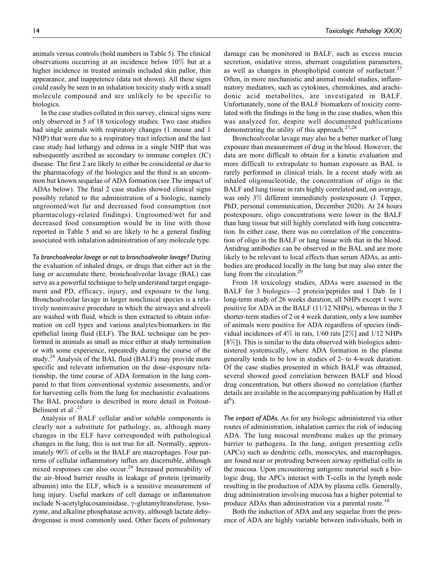animals versus controls (bold numbers in Table 5). The clinical observations occurring at an incidence below 10% but at a higher incidence in treated animals included skin pallor, thin appearance, and inappetence (data not shown). All these signs could easily be seen in an inhalation toxicity study with a small molecule compound and are unlikely to be specific to biologics.

In the case studies collated in this survey, clinical signs were only observed in 5 of 18 toxicology studies. Two case studies had single animals with respiratory changes (1 mouse and 1 NHP) that were due to a respiratory tract infection and the last case study had lethargy and edema in a single NHP that was subsequently ascribed as secondary to immune complex (IC) disease. The first 2 are likely to either be coincidental or due to the pharmacology of the biologics and the third is an uncommon but known sequelae of ADA formation (see The impact of ADAs below). The final 2 case studies showed clinical signs possibly related to the administration of a biologic, namely ungroomed/wet fur and decreased food consumption (not pharmacology-related findings). Ungroomed/wet fur and decreased food consumption would be in line with those reported in Table 5 and so are likely to be a general finding associated with inhalation administration of any molecule type.

*To bronchoalveolar lavage or not to bronchoalveolar lavage?* During the evaluation of inhaled drugs, or drugs that either act in the lung or accumulate there, bronchoalveolar lavage (BAL) can serve as a powerful technique to help understand target engagement and PD, efficacy, injury, and exposure to the lung. Bronchoalveolar lavage in larger nonclinical species is a relatively noninvasive procedure in which the airways and alveoli are washed with fluid, which is then extracted to obtain information on cell types and various analytes/biomarkers in the epithelial lining fluid (ELF). The BAL technique can be performed in animals as small as mice either at study termination or with some experience, repeatedly during the course of the study.<sup>24</sup> Analysis of the BAL fluid (BALF) may provide more specific and relevant information on the dose–exposure relationship, the time course of ADA formation in the lung compared to that from conventional systemic assessments, and/or for harvesting cells from the lung for mechanistic evaluations. The BAL procedure is described in more detail in Poitout-Belissent et al .<sup>25</sup>

Analysis of BALF cellular and/or soluble components is clearly not a substitute for pathology, as, although many changes in the ELF have corresponded with pathological changes in the lung, this is not true for all. Normally, approximately 90% of cells in the BALF are macrophages. Four patterns of cellular inflammatory influx are discernible, although mixed responses can also occur.<sup>26</sup> Increased permeability of the air–blood barrier results in leakage of protein (primarily albumin) into the ELF, which is a sensitive measurement of lung injury. Useful markers of cell damage or inflammation include N-acetylglucosaminidase,  $\gamma$ -glutamyltransferase, lysozyme, and alkaline phosphatase activity, although lactate dehydrogenase is most commonly used. Other facets of pulmonary damage can be monitored in BALF, such as excess mucus secretion, oxidative stress, aberrant coagulation parameters, as well as changes in phospholipid content of surfactant.<sup>27</sup> Often, in more mechanistic and animal model studies, inflammatory mediators, such as cytokines, chemokines, and arachidonic acid metabolites, are investigated in BALF. Unfortunately, none of the BALF biomarkers of toxicity correlated with the findings in the lung in the case studies, when this was analyzed for, despite well documented publications demonstrating the utility of this approach. $27,28$ 

Bronchoalveolar lavage may also be a better marker of lung exposure than measurement of drug in the blood. However, the data are more difficult to obtain for a kinetic evaluation and more difficult to extrapolate to human exposure as BAL is rarely performed in clinical trials. In a recent study with an inhaled oligonucleotide, the concentration of oligo in the BALF and lung tissue in rats highly correlated and, on average, was only 3% different immediately postexposure (J. Tepper, PhD, personal communication, December 2020). At 24 hours postexposure, oligo concentrations were lower in the BALF than lung tissue but still highly correlated with lung concentration. In either case, there was no correlation of the concentration of oligo in the BALF or lung tissue with that in the blood. Antidrug antibodies can be observed in the BAL and are more likely to be relevant to local effects than serum ADAs, as antibodies are produced locally in the lung but may also enter the lung from the circulation. $2<sup>9</sup>$ 

From 18 toxicology studies, ADAs were assessed in the BALF for 3 biologics—2 protein/peptides and 1 Dab. In 1 long-term study of 26 weeks duration, all NHPs except 1 were positive for ADA in the BALF (11/12 NHPs), whereas in the 3 shorter-term studies of 2 or 4 week duration, only a low number of animals were positive for ADA regardless of species (individual incidences of 4% in rats, 1/60 rats [2%] and 1/12 NHPs [8%]). This is similar to the data observed with biologics administered systemically, where ADA formation in the plasma generally tends to be low in studies of 2- to 4-week duration. Of the case studies presented in which BALF was obtained, several showed good correlation between BALF and blood drug concentration, but others showed no correlation (further details are available in the accompanying publication by Hall et  $al<sup>6</sup>$ ).

*The impact of ADAs.* As for any biologic administered via other routes of administration, inhalation carries the risk of inducing ADA. The lung mucosal membrane makes up the primary barrier to pathogens. In the lung, antigen presenting cells (APCs) such as dendritic cells, monocytes, and macrophages, are found near or protruding between airway epithelial cells in the mucosa. Upon encountering antigenic material such a biologic drug, the APCs interact with T-cells in the lymph node resulting in the production of ADA by plasma cells. Generally, drug administration involving mucosa has a higher potential to produce ADAs than administration via a parental route.<sup>10</sup>

Both the induction of ADA and any sequelae from the presence of ADA are highly variable between individuals, both in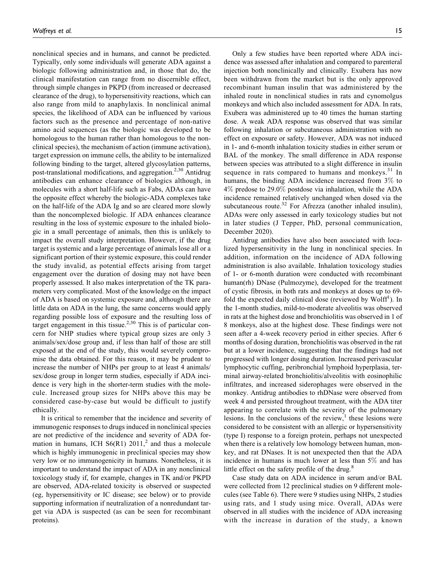nonclinical species and in humans, and cannot be predicted. Typically, only some individuals will generate ADA against a biologic following administration and, in those that do, the clinical manifestation can range from no discernible effect, through simple changes in PKPD (from increased or decreased clearance of the drug), to hypersensitivity reactions, which can also range from mild to anaphylaxis. In nonclinical animal species, the likelihood of ADA can be influenced by various factors such as the presence and percentage of non-native amino acid sequences (as the biologic was developed to be homologous to the human rather than homologous to the nonclinical species), the mechanism of action (immune activation), target expression on immune cells, the ability to be internalized following binding to the target, altered glycosylation patterns, post-translational modifications, and aggregation.<sup>2,30</sup> Antidrug antibodies can enhance clearance of biologics although, in molecules with a short half-life such as Fabs, ADAs can have the opposite effect whereby the biologic-ADA complexes take on the half-life of the ADA Ig and so are cleared more slowly than the noncomplexed biologic. If ADA enhances clearance resulting in the loss of systemic exposure to the inhaled biologic in a small percentage of animals, then this is unlikely to impact the overall study interpretation. However, if the drug target is systemic and a large percentage of animals lose all or a significant portion of their systemic exposure, this could render the study invalid, as potential effects arising from target engagement over the duration of dosing may not have been properly assessed. It also makes interpretation of the TK parameters very complicated. Most of the knowledge on the impact of ADA is based on systemic exposure and, although there are little data on ADA in the lung, the same concerns would apply regarding possible loss of exposure and the resulting loss of target engagement in this tissue.<sup>2,30</sup> This is of particular concern for NHP studies where typical group sizes are only 3 animals/sex/dose group and, if less than half of those are still exposed at the end of the study, this would severely compromise the data obtained. For this reason, it may be prudent to increase the number of NHPs per group to at least 4 animals/ sex/dose group in longer term studies, especially if ADA incidence is very high in the shorter-term studies with the molecule. Increased group sizes for NHPs above this may be considered case-by-case but would be difficult to justify ethically.

It is critical to remember that the incidence and severity of immunogenic responses to drugs induced in nonclinical species are not predictive of the incidence and severity of ADA formation in humans, ICH  $S6(R1)$  2011,<sup>2</sup> and thus a molecule which is highly immunogenic in preclinical species may show very low or no immunogenicity in humans. Nonetheless, it is important to understand the impact of ADA in any nonclinical toxicology study if, for example, changes in TK and/or PKPD are observed, ADA-related toxicity is observed or suspected (eg, hypersensitivity or IC disease; see below) or to provide supporting information if neutralization of a nonredundant target via ADA is suspected (as can be seen for recombinant proteins).

Only a few studies have been reported where ADA incidence was assessed after inhalation and compared to parenteral injection both nonclinically and clinically. Exubera has now been withdrawn from the market but is the only approved recombinant human insulin that was administered by the inhaled route in nonclinical studies in rats and cynomolgus monkeys and which also included assessment for ADA. In rats, Exubera was administered up to 40 times the human starting dose. A weak ADA response was observed that was similar following inhalation or subcutaneous administration with no effect on exposure or safety. However, ADA was not induced in 1- and 6-month inhalation toxicity studies in either serum or BAL of the monkey. The small difference in ADA response between species was attributed to a slight difference in insulin sequence in rats compared to humans and monkeys. $31$  In humans, the binding ADA incidence increased from 3% to 4% predose to 29.0% postdose via inhalation, while the ADA incidence remained relatively unchanged when dosed via the subcutaneous route.<sup>32</sup> For Afrezza (another inhaled insulin), ADAs were only assessed in early toxicology studies but not in later studies (J Tepper, PhD, personal communication, December 2020).

Antidrug antibodies have also been associated with localized hypersensitivity in the lung in nonclinical species. In addition, information on the incidence of ADA following administration is also available. Inhalation toxicology studies of 1- or 6-month duration were conducted with recombinant human(rh) DNase (Pulmozyme), developed for the treatment of cystic fibrosis, in both rats and monkeys at doses up to 69 fold the expected daily clinical dose (reviewed by Wolff<sup>1</sup>). In the 1-month studies, mild-to-moderate alveolitis was observed in rats at the highest dose and bronchiolitis was observed in 1 of 8 monkeys, also at the highest dose. These findings were not seen after a 4-week recovery period in either species. After 6 months of dosing duration, bronchiolitis was observed in the rat but at a lower incidence, suggesting that the findings had not progressed with longer dosing duration. Increased perivascular lymphocytic cuffing, peribronchial lymphoid hyperplasia, terminal airway-related bronchiolitis/alveolitis with eosinophilic infiltrates, and increased siderophages were observed in the monkey. Antidrug antibodies to rhDNase were observed from week 4 and persisted throughout treatment, with the ADA titer appearing to correlate with the severity of the pulmonary lesions. In the conclusions of the review, $\frac{1}{1}$  these lesions were considered to be consistent with an allergic or hypersensitivity (type I) response to a foreign protein, perhaps not unexpected when there is a relatively low homology between human, monkey, and rat DNases. It is not unexpected then that the ADA incidence in humans is much lower at less than 5% and has little effect on the safety profile of the drug. $8$ 

Case study data on ADA incidence in serum and/or BAL were collected from 12 preclinical studies on 9 different molecules (see Table 6). There were 9 studies using NHPs, 2 studies using rats, and 1 study using mice. Overall, ADAs were observed in all studies with the incidence of ADA increasing with the increase in duration of the study, a known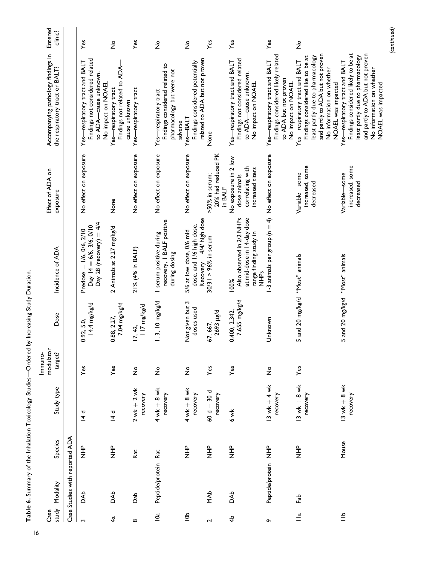| ı                                                               |
|-----------------------------------------------------------------|
|                                                                 |
| į                                                               |
|                                                                 |
| l<br>l<br>Í                                                     |
|                                                                 |
| j<br>֧֧֢ׅ֧ׅ֧֧֧֧ׅ֧֧֧֧֢֛֚֚֚֚֚֚֚֚֚֚֚֚֚֚֚֚֚֚֚֚֚֚֚֚֬֜֓֡֓֝֬֓֝֓֝֬֜֓֝֬֜ |
|                                                                 |
|                                                                 |
|                                                                 |
| I                                                               |
|                                                                 |
| ı                                                               |

| Entered<br>clinic?                                                   |                                | Yes                                                                                                              | $\mathsf{S}^{\mathsf{o}}$                                              | $\mathsf{Yes}$              | $\frac{1}{2}$                                                                                   | $\frac{1}{2}$                                                                       | Yes                                             | $Y$ es                                                                                                           | Yes                                                                                                                 | $\frac{1}{2}$                                                                                                                                                                                  |                                                                                                                                                                                                  |
|----------------------------------------------------------------------|--------------------------------|------------------------------------------------------------------------------------------------------------------|------------------------------------------------------------------------|-----------------------------|-------------------------------------------------------------------------------------------------|-------------------------------------------------------------------------------------|-------------------------------------------------|------------------------------------------------------------------------------------------------------------------|---------------------------------------------------------------------------------------------------------------------|------------------------------------------------------------------------------------------------------------------------------------------------------------------------------------------------|--------------------------------------------------------------------------------------------------------------------------------------------------------------------------------------------------|
| Accompanying pathology findings in<br>the respiratory tract or BALT? |                                | Findings not considered related<br>Yes-respiratory tract and BALT<br>to ADA-cause unknown.<br>No impact on NOAEL | Findings not related to ADA-<br>Yes-respiratory tract<br>cause unknown | Yes-respiratory tract       | Findings considered related to<br>pharmacology but were not<br>Yes-respiratory tract<br>adverse | related to ADA but not proven<br>Findings considered potentially<br>Yes-BALT        | None                                            | Findings not considered related<br>Yes-respiratory tract and BALT<br>to ADA-cause unknown.<br>No impact on NOAEL | Findings considered likely related<br>Yes-respiratory tract and BALT<br>to ADA but not proven<br>No impact on NOAEL | and partly to ADA but not proven<br>Findings considered like to be at<br>least partly due to pharmacology<br>Yes-respiratory tract and BALT<br>No information on whether<br>NOAEL was impacted | Findings considered likely to be at<br>and partly to ADA but not proven<br>least partly due to pharmacology<br>Yes-respiratory tract and BALT<br>No information on whether<br>NOAEL was impacted |
| Effect of ADA on<br>exposure                                         |                                | No effect on exposure                                                                                            | None                                                                   | No effect on exposure       | No effect on exposure                                                                           | No effect on exposure                                                               | 20% had reduced PK<br>>50% in serum;<br>in BALF | No exposure in 2 low<br>correlating with<br>increased titers<br>dose animals                                     |                                                                                                                     | increased, some<br>Variable-some<br>decreased                                                                                                                                                  | increased, some<br>Variable-some<br>decreased                                                                                                                                                    |
| Incidence of ADA                                                     |                                | Day 28 (recovery) = $4/4$<br>Day 14 = 6/6, 3/6, 0/10<br>Predose = 1/6, 0/6, 2/10                                 | 2 Animals at 2.27 mg/kg/d                                              | 21% (4% in BALF)            | recovery, I BALF positive<br>I serum positive during<br>during dosing                           | Recovery $=$ 4/4/ high dose<br>dose, and 1/6 high dose.<br>5/6 at low dose, 0/6 mid | $30/31 > 96%$ in serum                          | Also observed in 2/2 NHPs<br>at mid-dose in 14-day dose<br>range finding study in<br>。<br>三<br>乙<br>100%         | 1-3 animals per group ( $n = 4$ ). No effect on exposure                                                            |                                                                                                                                                                                                |                                                                                                                                                                                                  |
| Dose                                                                 |                                | 14.4 mg/kg/d<br>0.92, 5.0                                                                                        | 7.04 mg/kg/d<br>0.88, 2.27,                                            | ll7 mg/kg/d<br>17, 42,      | $1, 3, 10$ mg/kg/d                                                                              | Not given but 3<br>doses used                                                       | <b>1693</b> µg/d<br>67, 667,                    | 7.655 mg/kg/d<br>0.400, 2.342,                                                                                   | Unknown                                                                                                             | 5 and 20 mg/kg/d "Most" animals                                                                                                                                                                | 5 and 20 mg/kg/d "Most" animals                                                                                                                                                                  |
| modulator<br>target?<br>Immuno-                                      |                                | Yes                                                                                                              | Yes                                                                    | $\stackrel{\mathtt{o}}{z}$  | $\frac{1}{2}$                                                                                   | $\overset{\mathtt{o}}{z}$                                                           | Yes                                             | Yes                                                                                                              | $\frac{1}{2}$                                                                                                       | Yes                                                                                                                                                                                            |                                                                                                                                                                                                  |
| Study type                                                           |                                | セト                                                                                                               | セセ                                                                     | $2$ wk $+$ 2 wk<br>recovery | $4$ wk $+$ 8 wk<br>recovery                                                                     | $4$ wk $+$ 8 wk<br>recovery                                                         | $60d + 30d$<br>recovery                         | 6 wk                                                                                                             | 13 wk $+4$ wk<br>recovery                                                                                           | $13$ wk $+$ 8 wk<br>recovery                                                                                                                                                                   | $13$ wk $+$ 8 wk<br>recovery                                                                                                                                                                     |
| Species                                                              |                                | 오<br>그<br>그                                                                                                      | 。<br>三                                                                 | Rat                         |                                                                                                 | 。<br>三<br>乙                                                                         | $\frac{P}{Z}$                                   | 。<br>三<br>乙                                                                                                      |                                                                                                                     | 。<br>三<br>乙                                                                                                                                                                                    | Mouse                                                                                                                                                                                            |
| study Modality                                                       | Case Studies with reported ADA | <b>Ab</b>                                                                                                        | <b>BAb</b>                                                             | da<br>Dab                   | Peptide/protein Rat                                                                             |                                                                                     | <b>NAb</b>                                      | DAb                                                                                                              | Peptide/protein NHP                                                                                                 | Fab                                                                                                                                                                                            |                                                                                                                                                                                                  |
| Case                                                                 |                                | $\sim$                                                                                                           | 4ª                                                                     | $\infty$                    | $\overline{6}$                                                                                  | $\frac{1}{6}$                                                                       | 2                                               | $\frac{4}{7}$                                                                                                    | ō                                                                                                                   | $\frac{a}{1}$                                                                                                                                                                                  | $\frac{a}{1}$                                                                                                                                                                                    |

*(continued)*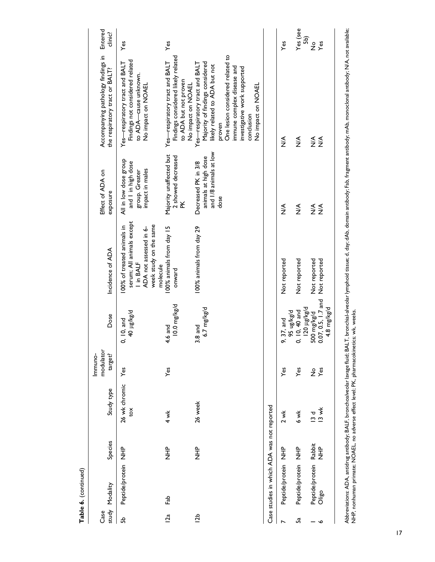|        | Table 6. (continued)                       |                       |                          |                                 |                                                      |                                                                                                                                      |                                                                                  |                                                                                                                                                                                                                                                    |                      |
|--------|--------------------------------------------|-----------------------|--------------------------|---------------------------------|------------------------------------------------------|--------------------------------------------------------------------------------------------------------------------------------------|----------------------------------------------------------------------------------|----------------------------------------------------------------------------------------------------------------------------------------------------------------------------------------------------------------------------------------------------|----------------------|
| Case   | study Modality                             | Species               | Study type               | modulator<br>Immuno-<br>target? | Dose                                                 | Incidence of ADA                                                                                                                     | Effect of ADA on<br>exposure                                                     | Accompanying pathology findings in<br>the respiratory tract or BALT?                                                                                                                                                                               | Entered<br>clinic?   |
| 유      | Peptide/protein NHP                        |                       | 26 wk chromic<br>tox     | $Y$ es                          | p/ <sup>8</sup> M <sup>811</sup> 0+<br>0, 10, and    | serum; All animals except<br>week study on the same<br>100% of treated animals in<br>ADA not assessed in 6-<br>I in BALF<br>molecule | All in low dose group<br>and I in high dose<br>impact in males<br>group. Greater | Findings not considered related<br>Yes-respiratory tract and BALT<br>to ADA—cause unknown.<br>No impact on NOAEL                                                                                                                                   | Yes                  |
| 12a    | Fab                                        | 오<br>기<br>기           | $4 \times$               | Yes                             | $10.0 \text{ mg/kg/d}$<br>4.6 and                    | 100% animals from day 15<br>onward                                                                                                   | Majority unaffected but<br>2 showed decreased<br>¥                               | Findings considered likely related<br>Yes-respiratory tract and BALT<br>to ADA but not proven<br>No impact on NOAEL                                                                                                                                | Yes                  |
| 12b    |                                            | $rac{1}{z}$           | 26 week                  |                                 | 6.7 mg/kg/d<br>$3.8$ and                             | 100% animals from day 29                                                                                                             | and 1/8 animals at low<br>animals at high dose<br>Decreased PK in 3/8<br>dose    | One lesion considered related to<br>Majority of findings considered<br>Yes-respiratory tract and BALT<br>likely related to ADA but not<br>immune complex disease and<br>investigative work supported<br>No impact on NOAEL<br>conclusion<br>proven |                      |
|        | Case studies in which ADA was not reported |                       |                          |                                 |                                                      |                                                                                                                                      |                                                                                  |                                                                                                                                                                                                                                                    |                      |
|        | Peptide/protein NHP                        |                       | 2 wk                     | Yes                             | b/ <sup>3</sup> y/ <sup>3n</sup> 56<br>9, 37, and    | Not reported                                                                                                                         | ⋚                                                                                | $\frac{4}{2}$                                                                                                                                                                                                                                      | yes                  |
| 5a     | Peptide/protein NHP                        |                       | 6 wk                     | Yes                             | P/ <sup>8</sup> / <sup>81</sup> 071<br>0, 10, 40 and | Not reported                                                                                                                         | $\stackrel{\leq}{\geq}$                                                          | $\stackrel{\leq}{\geq}$                                                                                                                                                                                                                            | Yes (see<br>5b)      |
| $\sim$ | Peptide/protein<br>Oligo                   | Rabbit<br>$rac{P}{Z}$ | $13$ wk<br>$\frac{d}{3}$ | $\frac{1}{2}$ $\frac{1}{2}$     | 0.07, 0.5, 1.7 and<br>500 mg/kg/d                    | Not reported<br>Not reported                                                                                                         | $\frac{4}{2}$ $\frac{4}{2}$                                                      | $\frac{4}{2}$ $\frac{4}{2}$                                                                                                                                                                                                                        | $\frac{6}{2}$<br>Yes |
|        |                                            |                       |                          |                                 | 4.8 mg/kg/d                                          |                                                                                                                                      |                                                                                  |                                                                                                                                                                                                                                                    |                      |

Abbreviations: ADA, antidrug antibody; BALF, bronchoalveolar lavage fluid; BALT, bronchial-alveolar lymphoid tissue; d, day, dAb, domain antibody; Fab, fragment antibody; mAb, monoclonal antibody; N/A, not available;<br>NHP, Abbreviations: ADA, antidrug antibody; BALF, bronchoalveolar lavage fluid; BALT, bronchial-alveolar lymphoid tissue; d, day; dAb, domain antibody; Fab, fragment antibody; mAb, monoclonal antibody; N/A, not available; NHP, nonhuman primate; NOAEL, no adverse effect level; PK, pharmacokinetics; wk, weeks.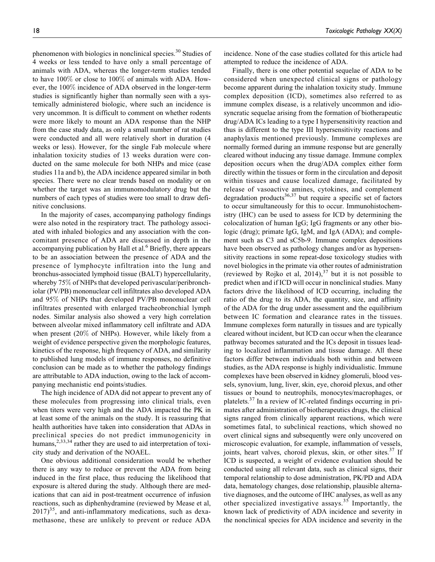phenomenon with biologics in nonclinical species.<sup>30</sup> Studies of 4 weeks or less tended to have only a small percentage of animals with ADA, whereas the longer-term studies tended to have 100% or close to 100% of animals with ADA. However, the 100% incidence of ADA observed in the longer-term studies is significantly higher than normally seen with a systemically administered biologic, where such an incidence is very uncommon. It is difficult to comment on whether rodents were more likely to mount an ADA response than the NHP from the case study data, as only a small number of rat studies were conducted and all were relatively short in duration (4 weeks or less). However, for the single Fab molecule where inhalation toxicity studies of 13 weeks duration were conducted on the same molecule for both NHPs and mice (case studies 11a and b), the ADA incidence appeared similar in both species. There were no clear trends based on modality or on whether the target was an immunomodulatory drug but the numbers of each types of studies were too small to draw definitive conclusions.

In the majority of cases, accompanying pathology findings were also noted in the respiratory tract. The pathology associated with inhaled biologics and any association with the concomitant presence of ADA are discussed in depth in the accompanying publication by Hall et al.<sup>6</sup> Briefly, there appears to be an association between the presence of ADA and the presence of lymphocyte infiltration into the lung and bronchus-associated lymphoid tissue (BALT) hypercellularity, whereby 75% of NHPs that developed perivascular/peribronchiolar (PV/PB) mononuclear cell infiltrates also developed ADA and 95% of NHPs that developed PV/PB mononuclear cell infiltrates presented with enlarged tracheobronchial lymph nodes. Similar analysis also showed a very high correlation between alveolar mixed inflammatory cell infiltrate and ADA when present (20% of NHPs). However, while likely from a weight of evidence perspective given the morphologic features, kinetics of the response, high frequency of ADA, and similarity to published lung models of immune responses, no definitive conclusion can be made as to whether the pathology findings are attributable to ADA induction, owing to the lack of accompanying mechanistic end points/studies.

The high incidence of ADA did not appear to prevent any of these molecules from progressing into clinical trials, even when titers were very high and the ADA impacted the PK in at least some of the animals on the study. It is reassuring that health authorities have taken into consideration that ADAs in preclinical species do not predict immunogenicity in humans,  $2,33,34$  rather they are used to aid interpretation of toxicity study and derivation of the NOAEL.

One obvious additional consideration would be whether there is any way to reduce or prevent the ADA from being induced in the first place, thus reducing the likelihood that exposure is altered during the study. Although there are medications that can aid in post-treatment occurrence of infusion reactions, such as diphenhydramine (reviewed by Mease et al,  $2017)^{35}$ , and anti-inflammatory medications, such as dexamethasone, these are unlikely to prevent or reduce ADA incidence. None of the case studies collated for this article had attempted to reduce the incidence of ADA.

Finally, there is one other potential sequelae of ADA to be considered when unexpected clinical signs or pathology become apparent during the inhalation toxicity study. Immune complex deposition (ICD), sometimes also referred to as immune complex disease, is a relatively uncommon and idiosyncratic sequelae arising from the formation of biotherapeutic drug/ADA ICs leading to a type I hypersensitivity reaction and thus is different to the type III hypersensitivity reactions and anaphylaxis mentioned previously. Immune complexes are normally formed during an immune response but are generally cleared without inducing any tissue damage. Immune complex deposition occurs when the drug/ADA complex either form directly within the tissues or form in the circulation and deposit within tissues and cause localized damage, facilitated by release of vasoactive amines, cytokines, and complement degradation products $36,37$  but require a specific set of factors to occur simultaneously for this to occur. Immunohistochemistry (IHC) can be used to assess for ICD by determining the colocalization of human IgG; IgG fragments or any other biologic (drug); primate IgG, IgM, and IgA (ADA); and complement such as C3 and sC5b-9. Immune complex depositions have been observed as pathology changes and/or as hypersensitivity reactions in some repeat-dose toxicology studies with novel biologics in the primate via other routes of administration (reviewed by Rojko et al,  $2014$ ),  $37$  but it is not possible to predict when and if ICD will occur in nonclinical studies. Many factors drive the likelihood of ICD occurring, including the ratio of the drug to its ADA, the quantity, size, and affinity of the ADA for the drug under assessment and the equilibrium between IC formation and clearance rates in the tissues. Immune complexes form naturally in tissues and are typically cleared without incident, but ICD can occur when the clearance pathway becomes saturated and the ICs deposit in tissues leading to localized inflammation and tissue damage. All these factors differ between individuals both within and between studies, as the ADA response is highly individualistic. Immune complexes have been observed in kidney glomeruli, blood vessels, synovium, lung, liver, skin, eye, choroid plexus, and other tissues or bound to neutrophils, monocytes/macrophages, or platelets.<sup>37</sup> In a review of IC-related findings occurring in primates after administration of biotherapeutics drugs, the clinical signs ranged from clinically apparent reactions, which were sometimes fatal, to subclinical reactions, which showed no overt clinical signs and subsequently were only uncovered on microscopic evaluation, for example, inflammation of vessels, joints, heart valves, choroid plexus, skin, or other sites.<sup>37</sup> If ICD is suspected, a weight of evidence evaluation should be conducted using all relevant data, such as clinical signs, their temporal relationship to dose administration, PK/PD and ADA data, hematology changes, dose relationship, plausible alternative diagnoses, and the outcome of IHC analyses, as well as any other specialized investigative assays.<sup>35</sup> Importantly, the known lack of predictivity of ADA incidence and severity in the nonclinical species for ADA incidence and severity in the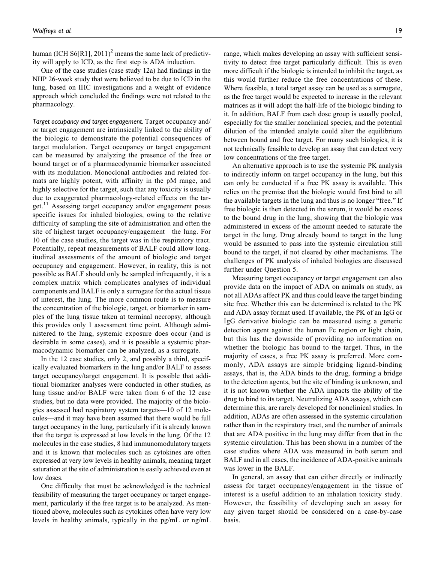human (ICH S6[R1], 2011)<sup>2</sup> means the same lack of predictivity will apply to ICD, as the first step is ADA induction.

One of the case studies (case study 12a) had findings in the NHP 26-week study that were believed to be due to ICD in the lung, based on IHC investigations and a weight of evidence approach which concluded the findings were not related to the pharmacology.

*Target occupancy and target engagement.* Target occupancy and/ or target engagement are intrinsically linked to the ability of the biologic to demonstrate the potential consequences of target modulation. Target occupancy or target engagement can be measured by analyzing the presence of the free or bound target or of a pharmacodynamic biomarker associated with its modulation. Monoclonal antibodies and related formats are highly potent, with affinity in the pM range, and highly selective for the target, such that any toxicity is usually due to exaggerated pharmacology-related effects on the target. $^{11}$  Assessing target occupancy and/or engagement poses specific issues for inhaled biologics, owing to the relative difficulty of sampling the site of administration and often the site of highest target occupancy/engagement—the lung. For 10 of the case studies, the target was in the respiratory tract. Potentially, repeat measurements of BALF could allow longitudinal assessments of the amount of biologic and target occupancy and engagement. However, in reality, this is not possible as BALF should only be sampled infrequently, it is a complex matrix which complicates analyses of individual components and BALF is only a surrogate for the actual tissue of interest, the lung. The more common route is to measure the concentration of the biologic, target, or biomarker in samples of the lung tissue taken at terminal necropsy, although this provides only 1 assessment time point. Although administered to the lung, systemic exposure does occur (and is desirable in some cases), and it is possible a systemic pharmacodynamic biomarker can be analyzed, as a surrogate.

In the 12 case studies, only 2, and possibly a third, specifically evaluated biomarkers in the lung and/or BALF to assess target occupancy/target engagement. It is possible that additional biomarker analyses were conducted in other studies, as lung tissue and/or BALF were taken from 6 of the 12 case studies, but no data were provided. The majority of the biologics assessed had respiratory system targets—10 of 12 molecules—and it may have been assumed that there would be full target occupancy in the lung, particularly if it is already known that the target is expressed at low levels in the lung. Of the 12 molecules in the case studies, 8 had immunomodulatory targets and it is known that molecules such as cytokines are often expressed at very low levels in healthy animals, meaning target saturation at the site of administration is easily achieved even at low doses.

One difficulty that must be acknowledged is the technical feasibility of measuring the target occupancy or target engagement, particularly if the free target is to be analyzed. As mentioned above, molecules such as cytokines often have very low levels in healthy animals, typically in the pg/mL or ng/mL range, which makes developing an assay with sufficient sensitivity to detect free target particularly difficult. This is even more difficult if the biologic is intended to inhibit the target, as this would further reduce the free concentrations of these. Where feasible, a total target assay can be used as a surrogate, as the free target would be expected to increase in the relevant matrices as it will adopt the half-life of the biologic binding to it. In addition, BALF from each dose group is usually pooled, especially for the smaller nonclinical species, and the potential dilution of the intended analyte could alter the equilibrium between bound and free target. For many such biologics, it is not technically feasible to develop an assay that can detect very low concentrations of the free target.

An alternative approach is to use the systemic PK analysis to indirectly inform on target occupancy in the lung, but this can only be conducted if a free PK assay is available. This relies on the premise that the biologic would first bind to all the available targets in the lung and thus is no longer "free." If free biologic is then detected in the serum, it would be excess to the bound drug in the lung, showing that the biologic was administered in excess of the amount needed to saturate the target in the lung. Drug already bound to target in the lung would be assumed to pass into the systemic circulation still bound to the target, if not cleared by other mechanisms. The challenges of PK analysis of inhaled biologics are discussed further under Question 5.

Measuring target occupancy or target engagement can also provide data on the impact of ADA on animals on study, as not all ADAs affect PK and thus could leave the target binding site free. Whether this can be determined is related to the PK and ADA assay format used. If available, the PK of an IgG or IgG derivative biologic can be measured using a generic detection agent against the human Fc region or light chain, but this has the downside of providing no information on whether the biologic has bound to the target. Thus, in the majority of cases, a free PK assay is preferred. More commonly, ADA assays are simple bridging ligand-binding assays, that is, the ADA binds to the drug, forming a bridge to the detection agents, but the site of binding is unknown, and it is not known whether the ADA impacts the ability of the drug to bind to its target. Neutralizing ADA assays, which can determine this, are rarely developed for nonclinical studies. In addition, ADAs are often assessed in the systemic circulation rather than in the respiratory tract, and the number of animals that are ADA positive in the lung may differ from that in the systemic circulation. This has been shown in a number of the case studies where ADA was measured in both serum and BALF and in all cases, the incidence of ADA-positive animals was lower in the BALF.

In general, an assay that can either directly or indirectly assess for target occupancy/engagement in the tissue of interest is a useful addition to an inhalation toxicity study. However, the feasibility of developing such an assay for any given target should be considered on a case-by-case basis.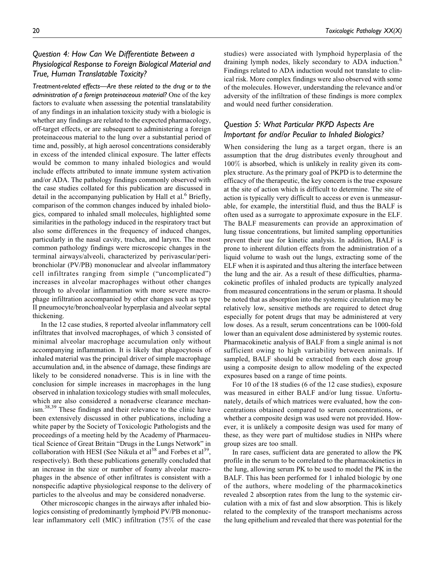# *Question 4: How Can We Differentiate Between a Physiological Response to Foreign Biological Material and True, Human Translatable Toxicity?*

*Treatment-related effects—Are these related to the drug or to the administration of a foreign proteinaceous material?* One of the key factors to evaluate when assessing the potential translatability of any findings in an inhalation toxicity study with a biologic is whether any findings are related to the expected pharmacology, off-target effects, or are subsequent to administering a foreign proteinaceous material to the lung over a substantial period of time and, possibly, at high aerosol concentrations considerably in excess of the intended clinical exposure. The latter effects would be common to many inhaled biologics and would include effects attributed to innate immune system activation and/or ADA. The pathology findings commonly observed with the case studies collated for this publication are discussed in detail in the accompanying publication by Hall et al.<sup>6</sup> Briefly, comparison of the common changes induced by inhaled biologics, compared to inhaled small molecules, highlighted some similarities in the pathology induced in the respiratory tract but also some differences in the frequency of induced changes, particularly in the nasal cavity, trachea, and larynx. The most common pathology findings were microscopic changes in the terminal airways/alveoli, characterized by perivascular/peribronchiolar (PV/PB) mononuclear and alveolar inflammatory cell infiltrates ranging from simple ("uncomplicated") increases in alveolar macrophages without other changes through to alveolar inflammation with more severe macrophage infiltration accompanied by other changes such as type II pneumocyte/bronchoalveolar hyperplasia and alveolar septal thickening.

In the 12 case studies, 8 reported alveolar inflammatory cell infiltrates that involved macrophages, of which 3 consisted of minimal alveolar macrophage accumulation only without accompanying inflammation. It is likely that phagocytosis of inhaled material was the principal driver of simple macrophage accumulation and, in the absence of damage, these findings are likely to be considered nonadverse. This is in line with the conclusion for simple increases in macrophages in the lung observed in inhalation toxicology studies with small molecules, which are also considered a nonadverse clearance mechanism.<sup>38,39</sup> These findings and their relevance to the clinic have been extensively discussed in other publications, including a white paper by the Society of Toxicologic Pathologists and the proceedings of a meeting held by the Academy of Pharmaceutical Science of Great Britain "Drugs in the Lungs Network" in collaboration with HESI (See Nikula et al<sup>38</sup> and Forbes et al<sup>39</sup>, respectively). Both these publications generally concluded that an increase in the size or number of foamy alveolar macrophages in the absence of other infiltrates is consistent with a nonspecific adaptive physiological response to the delivery of particles to the alveolus and may be considered nonadverse.

Other microscopic changes in the airways after inhaled biologics consisting of predominantly lymphoid PV/PB mononuclear inflammatory cell (MIC) infiltration (75% of the case studies) were associated with lymphoid hyperplasia of the draining lymph nodes, likely secondary to ADA induction.<sup>6</sup> Findings related to ADA induction would not translate to clinical risk. More complex findings were also observed with some of the molecules. However, understanding the relevance and/or adversity of the infiltration of these findings is more complex and would need further consideration.

# *Question 5: What Particular PKPD Aspects Are Important for and/or Peculiar to Inhaled Biologics?*

When considering the lung as a target organ, there is an assumption that the drug distributes evenly throughout and 100% is absorbed, which is unlikely in reality given its complex structure. As the primary goal of PKPD is to determine the efficacy of the therapeutic, the key concern is the true exposure at the site of action which is difficult to determine. The site of action is typically very difficult to access or even is unmeasurable, for example, the interstitial fluid, and thus the BALF is often used as a surrogate to approximate exposure in the ELF. The BALF measurements can provide an approximation of lung tissue concentrations, but limited sampling opportunities prevent their use for kinetic analysis. In addition, BALF is prone to inherent dilution effects from the administration of a liquid volume to wash out the lungs, extracting some of the ELF when it is aspirated and thus altering the interface between the lung and the air. As a result of these difficulties, pharmacokinetic profiles of inhaled products are typically analyzed from measured concentrations in the serum or plasma. It should be noted that as absorption into the systemic circulation may be relatively low, sensitive methods are required to detect drug especially for potent drugs that may be administered at very low doses. As a result, serum concentrations can be 1000-fold lower than an equivalent dose administered by systemic routes. Pharmacokinetic analysis of BALF from a single animal is not sufficient owing to high variability between animals. If sampled, BALF should be extracted from each dose group using a composite design to allow modeling of the expected exposures based on a range of time points.

For 10 of the 18 studies (6 of the 12 case studies), exposure was measured in either BALF and/or lung tissue. Unfortunately, details of which matrices were evaluated, how the concentrations obtained compared to serum concentrations, or whether a composite design was used were not provided. However, it is unlikely a composite design was used for many of these, as they were part of multidose studies in NHPs where group sizes are too small.

In rare cases, sufficient data are generated to allow the PK profile in the serum to be correlated to the pharmacokinetics in the lung, allowing serum PK to be used to model the PK in the BALF. This has been performed for 1 inhaled biologic by one of the authors, where modeling of the pharmacokinetics revealed 2 absorption rates from the lung to the systemic circulation with a mix of fast and slow absorption. This is likely related to the complexity of the transport mechanisms across the lung epithelium and revealed that there was potential for the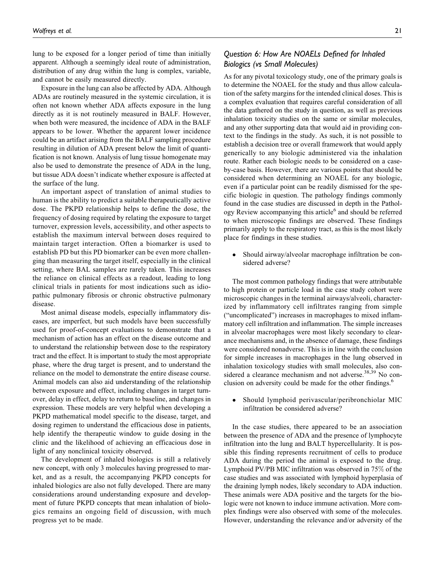lung to be exposed for a longer period of time than initially apparent. Although a seemingly ideal route of administration, distribution of any drug within the lung is complex, variable, and cannot be easily measured directly.

Exposure in the lung can also be affected by ADA. Although ADAs are routinely measured in the systemic circulation, it is often not known whether ADA affects exposure in the lung directly as it is not routinely measured in BALF. However, when both were measured, the incidence of ADA in the BALF appears to be lower. Whether the apparent lower incidence could be an artifact arising from the BALF sampling procedure resulting in dilution of ADA present below the limit of quantification is not known. Analysis of lung tissue homogenate may also be used to demonstrate the presence of ADA in the lung, but tissue ADA doesn't indicate whether exposure is affected at the surface of the lung.

An important aspect of translation of animal studies to human is the ability to predict a suitable therapeutically active dose. The PKPD relationship helps to define the dose, the frequency of dosing required by relating the exposure to target turnover, expression levels, accessibility, and other aspects to establish the maximum interval between doses required to maintain target interaction. Often a biomarker is used to establish PD but this PD biomarker can be even more challenging than measuring the target itself, especially in the clinical setting, where BAL samples are rarely taken. This increases the reliance on clinical effects as a readout, leading to long clinical trials in patients for most indications such as idiopathic pulmonary fibrosis or chronic obstructive pulmonary disease.

Most animal disease models, especially inflammatory diseases, are imperfect, but such models have been successfully used for proof-of-concept evaluations to demonstrate that a mechanism of action has an effect on the disease outcome and to understand the relationship between dose to the respiratory tract and the effect. It is important to study the most appropriate phase, where the drug target is present, and to understand the reliance on the model to demonstrate the entire disease course. Animal models can also aid understanding of the relationship between exposure and effect, including changes in target turnover, delay in effect, delay to return to baseline, and changes in expression. These models are very helpful when developing a PKPD mathematical model specific to the disease, target, and dosing regimen to understand the efficacious dose in patients, help identify the therapeutic window to guide dosing in the clinic and the likelihood of achieving an efficacious dose in light of any nonclinical toxicity observed.

The development of inhaled biologics is still a relatively new concept, with only 3 molecules having progressed to market, and as a result, the accompanying PKPD concepts for inhaled biologics are also not fully developed. There are many considerations around understanding exposure and development of future PKPD concepts that mean inhalation of biologics remains an ongoing field of discussion, with much progress yet to be made.

# *Question 6: How Are NOAELs Defined for Inhaled Biologics (vs Small Molecules)*

As for any pivotal toxicology study, one of the primary goals is to determine the NOAEL for the study and thus allow calculation of the safety margins for the intended clinical doses. This is a complex evaluation that requires careful consideration of all the data gathered on the study in question, as well as previous inhalation toxicity studies on the same or similar molecules, and any other supporting data that would aid in providing context to the findings in the study. As such, it is not possible to establish a decision tree or overall framework that would apply generically to any biologic administered via the inhalation route. Rather each biologic needs to be considered on a caseby-case basis. However, there are various points that should be considered when determining an NOAEL for any biologic, even if a particular point can be readily dismissed for the specific biologic in question. The pathology findings commonly found in the case studies are discussed in depth in the Pathology Review accompanying this article<sup>6</sup> and should be referred to when microscopic findings are observed. These findings primarily apply to the respiratory tract, as this is the most likely place for findings in these studies.

• Should airway/alveolar macrophage infiltration be considered adverse?

The most common pathology findings that were attributable to high protein or particle load in the case study cohort were microscopic changes in the terminal airways/alveoli, characterized by inflammatory cell infiltrates ranging from simple ("uncomplicated") increases in macrophages to mixed inflammatory cell infiltration and inflammation. The simple increases in alveolar macrophages were most likely secondary to clearance mechanisms and, in the absence of damage, these findings were considered nonadverse. This is in line with the conclusion for simple increases in macrophages in the lung observed in inhalation toxicology studies with small molecules, also considered a clearance mechanism and not adverse.<sup>38,39</sup> No conclusion on adversity could be made for the other findings.<sup>6</sup>

 Should lymphoid perivascular/peribronchiolar MIC infiltration be considered adverse?

In the case studies, there appeared to be an association between the presence of ADA and the presence of lymphocyte infiltration into the lung and BALT hypercellularity. It is possible this finding represents recruitment of cells to produce ADA during the period the animal is exposed to the drug. Lymphoid PV/PB MIC infiltration was observed in 75% of the case studies and was associated with lymphoid hyperplasia of the draining lymph nodes, likely secondary to ADA induction. These animals were ADA positive and the targets for the biologic were not known to induce immune activation. More complex findings were also observed with some of the molecules. However, understanding the relevance and/or adversity of the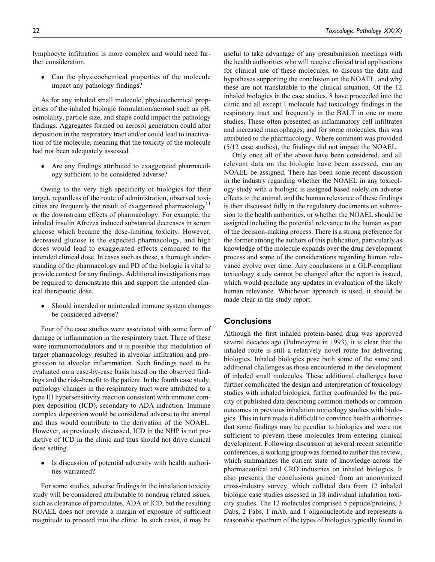lymphocyte infiltration is more complex and would need further consideration.

 Can the physicochemical properties of the molecule impact any pathology findings?

As for any inhaled small molecule, physicochemical properties of the inhaled biologic formulation/aerosol such as pH, osmolality, particle size, and shape could impact the pathology findings. Aggregates formed on aerosol generation could alter deposition in the respiratory tract and/or could lead to inactivation of the molecule, meaning that the toxicity of the molecule had not been adequately assessed.

 Are any findings attributed to exaggerated pharmacology sufficient to be considered adverse?

Owing to the very high specificity of biologics for their target, regardless of the route of administration, observed toxicities are frequently the result of exaggerated pharmacology<sup>11</sup> or the downstream effects of pharmacology. For example, the inhaled insulin Afrezza induced substantial decreases in serum glucose which became the dose-limiting toxicity. However, decreased glucose is the expected pharmacology, and high doses would lead to exaggerated effects compared to the intended clinical dose. In cases such as these, a thorough understanding of the pharmacology and PD of the biologic is vital to provide context for any findings. Additional investigations may be required to demonstrate this and support the intended clinical therapeutic dose.

 Should intended or unintended immune system changes be considered adverse?

Four of the case studies were associated with some form of damage or inflammation in the respiratory tract. Three of these were immunomodulators and it is possible that modulation of target pharmacology resulted in alveolar infiltration and progression to alveolar inflammation. Such findings need to be evaluated on a case-by-case basis based on the observed findings and the risk–benefit to the patient. In the fourth case study, pathology changes in the respiratory tract were attributed to a type III hypersensitivity reaction consistent with immune complex deposition (ICD), secondary to ADA induction. Immune complex deposition would be considered adverse to the animal and thus would contribute to the derivation of the NOAEL. However, as previously discussed, ICD in the NHP is not predictive of ICD in the clinic and thus should not drive clinical dose setting.

• Is discussion of potential adversity with health authorities warranted?

For some studies, adverse findings in the inhalation toxicity study will be considered attributable to nondrug related issues, such as clearance of particulates, ADA or ICD, but the resulting NOAEL does not provide a margin of exposure of sufficient magnitude to proceed into the clinic. In such cases, it may be useful to take advantage of any presubmission meetings with the health authorities who will receive clinical trial applications for clinical use of these molecules, to discuss the data and hypotheses supporting the conclusion on the NOAEL, and why these are not translatable to the clinical situation. Of the 12 inhaled biologics in the case studies, 8 have proceeded into the clinic and all except 1 molecule had toxicology findings in the respiratory tract and frequently in the BALT in one or more studies. These often presented as inflammatory cell infiltrates and increased macrophages, and for some molecules, this was attributed to the pharmacology. Where comment was provided (5/12 case studies), the findings did not impact the NOAEL.

Only once all of the above have been considered, and all relevant data on the biologic have been assessed, can an NOAEL be assigned. There has been some recent discussion in the industry regarding whether the NOAEL in any toxicology study with a biologic is assigned based solely on adverse effects to the animal, and the human relevance of these findings is then discussed fully in the regulatory documents on submission to the health authorities, or whether the NOAEL should be assigned including the potential relevance to the human as part of the decision-making process. There is a strong preference for the former among the authors of this publication, particularly as knowledge of the molecule expands over the drug development process and some of the considerations regarding human relevance evolve over time. Any conclusions in a GLP-compliant toxicology study cannot be changed after the report is issued, which would preclude any updates in evaluation of the likely human relevance. Whichever approach is used, it should be made clear in the study report.

# **Conclusions**

Although the first inhaled protein-based drug was approved several decades ago (Pulmozyme in 1993), it is clear that the inhaled route is still a relatively novel route for delivering biologics. Inhaled biologics pose both some of the same and additional challenges as those encountered in the development of inhaled small molecules. These additional challenges have further complicated the design and interpretation of toxicology studies with inhaled biologics, further confounded by the paucity of published data describing common methods or common outcomes in previous inhalation toxicology studies with biologics. This in turn made it difficult to convince health authorities that some findings may be peculiar to biologics and were not sufficient to prevent these molecules from entering clinical development. Following discussion at several recent scientific conferences, a working group was formed to author this review, which summarizes the current state of knowledge across the pharmaceutical and CRO industries on inhaled biologics. It also presents the conclusions gained from an anonymized cross-industry survey, which collated data from 12 inhaled biologic case studies assessed in 18 individual inhalation toxicity studies. The 12 molecules comprised 5 peptide/proteins, 3 Dabs, 2 Fabs, 1 mAb, and 1 oligonucleotide and represents a reasonable spectrum of the types of biologics typically found in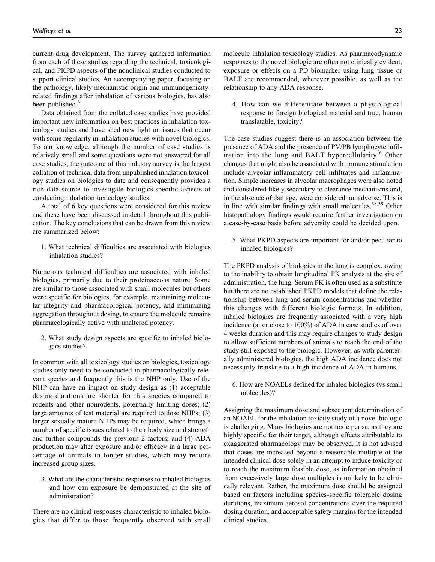current drug development. The survey gathered information from each of these studies regarding the technical, toxicological, and PKPD aspects of the nonclinical studies conducted to support clinical studies. An accompanying paper, focusing on the pathology, likely mechanistic origin and immunogenicityrelated findings after inhalation of various biologics, has also been published.<sup>6</sup>

Data obtained from the collated case studies have provided important new information on best practices in inhalation toxicology studies and have shed new light on issues that occur with some regularity in inhalation studies with novel biologics. To our knowledge, although the number of case studies is relatively small and some questions were not answered for all case studies, the outcome of this industry survey is the largest collation of technical data from unpublished inhalation toxicology studies on biologics to date and consequently provides a rich data source to investigate biologics-specific aspects of conducting inhalation toxicology studies.

A total of 6 key questions were considered for this review and these have been discussed in detail throughout this publication. The key conclusions that can be drawn from this review are summarized below:

1. What technical difficulties are associated with biologics inhalation studies?

Numerous technical difficulties are associated with inhaled biologics, primarily due to their proteinaceous nature. Some are similar to those associated with small molecules but others were specific for biologics, for example, maintaining molecular integrity and pharmacological potency, and minimizing aggregation throughout dosing, to ensure the molecule remains pharmacologically active with unaltered potency.

2. What study design aspects are specific to inhaled biologics studies?

In common with all toxicology studies on biologics, toxicology studies only need to be conducted in pharmacologically relevant species and frequently this is the NHP only. Use of the NHP can have an impact on study design as (1) acceptable dosing durations are shorter for this species compared to rodents and other nonrodents, potentially limiting doses; (2) large amounts of test material are required to dose NHPs; (3) larger sexually mature NHPs may be required, which brings a number of specific issues related to their body size and strength and further compounds the previous 2 factors; and (4) ADA production may alter exposure and/or efficacy in a large percentage of animals in longer studies, which may require increased group sizes.

3. What are the characteristic responses to inhaled biologics and how can exposure be demonstrated at the site of administration?

There are no clinical responses characteristic to inhaled biologics that differ to those frequently observed with small molecule inhalation toxicology studies. As pharmacodynamic responses to the novel biologic are often not clinically evident, exposure or effects on a PD biomarker using lung tissue or BALF are recommended, wherever possible, as well as the relationship to any ADA response.

4. How can we differentiate between a physiological response to foreign biological material and true, human translatable, toxicity?

The case studies suggest there is an association between the presence of ADA and the presence of PV/PB lymphocyte infiltration into the lung and BALT hypercellularity.<sup>6</sup> Other changes that might also be associated with immune stimulation include alveolar inflammatory cell infiltrates and inflammation. Simple increases in alveolar macrophages were also noted and considered likely secondary to clearance mechanisms and, in the absence of damage, were considered nonadverse. This is in line with similar findings with small molecules. $38,39$  Other histopathology findings would require further investigation on a case-by-case basis before adversity could be decided upon.

5. What PKPD aspects are important for and/or peculiar to inhaled biologics?

The PKPD analysis of biologics in the lung is complex, owing to the inability to obtain longitudinal PK analysis at the site of administration, the lung. Serum PK is often used as a substitute but there are no established PKPD models that define the relationship between lung and serum concentrations and whether this changes with different biologic formats. In addition, inhaled biologics are frequently associated with a very high incidence (at or close to 100%) of ADA in case studies of over 4 weeks duration and this may require changes to study design to allow sufficient numbers of animals to reach the end of the study still exposed to the biologic. However, as with parenterally administered biologics, the high ADA incidence does not necessarily translate to a high incidence of ADA in humans.

6. How are NOAELs defined for inhaled biologics (vs small molecules)?

Assigning the maximum dose and subsequent determination of an NOAEL for the inhalation toxicity study of a novel biologic is challenging. Many biologics are not toxic per se, as they are highly specific for their target, although effects attributable to exaggerated pharmacology may be observed. It is not advised that doses are increased beyond a reasonable multiple of the intended clinical dose solely in an attempt to induce toxicity or to reach the maximum feasible dose, as information obtained from excessively large dose multiples is unlikely to be clinically relevant. Rather, the maximum dose should be assigned based on factors including species-specific tolerable dosing durations, maximum aerosol concentrations over the required dosing duration, and acceptable safety margins for the intended clinical studies.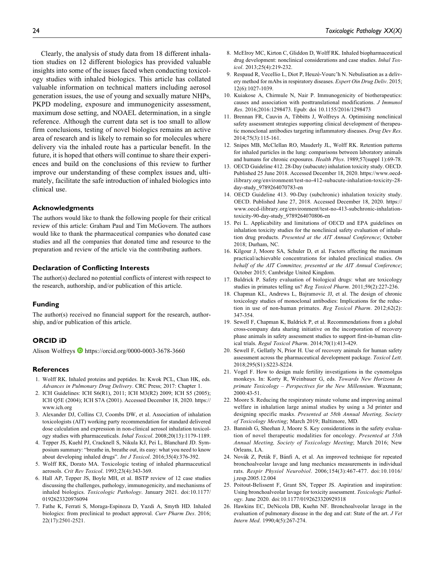Clearly, the analysis of study data from 18 different inhalation studies on 12 different biologics has provided valuable insights into some of the issues faced when conducting toxicology studies with inhaled biologics. This article has collated valuable information on technical matters including aerosol generation issues, the use of young and sexually mature NHPs, PKPD modeling, exposure and immunogenicity assessment, maximum dose setting, and NOAEL determination, in a single reference. Although the current data set is too small to allow firm conclusions, testing of novel biologics remains an active area of research and is likely to remain so for molecules where delivery via the inhaled route has a particular benefit. In the future, it is hoped that others will continue to share their experiences and build on the conclusions of this review to further improve our understanding of these complex issues and, ultimately, facilitate the safe introduction of inhaled biologics into clinical use.

#### **Acknowledgments**

The authors would like to thank the following people for their critical review of this article: Graham Paul and Tim McGovern. The authors would like to thank the pharmaceutical companies who donated case studies and all the companies that donated time and resource to the preparation and review of the article via the contributing authors.

### **Declaration of Conflicting Interests**

The author(s) declared no potential conflicts of interest with respect to the research, authorship, and/or publication of this article.

#### **Funding**

The author(s) received no financial support for the research, authorship, and/or publication of this article.

#### **ORCID iD**

Alison Wolfreys <https://orcid.org/0000-0003-3678-3660>

#### **References**

- 1. Wolff RK. Inhaled proteins and peptides. In: Kwok PCL, Chan HK, eds. Advances in Pulmonary Drug Delivery. CRC Press; 2017: Chapter 1.
- 2. ICH Guidelines: ICH S6(R1), 2011; ICH M3(R2) 2009; ICH S5 (2005); ICH Q5E (2004); ICH S7A (2001). Accessed December 18, 2020. [https://](https://www.ich.org) [www.ich.org](https://www.ich.org)
- 3. Alexander DJ, Collins CJ, Coombs DW, et al. Association of inhalation toxicologists (AIT) working party recommendation for standard delivered dose calculation and expression in non-clinical aerosol inhalation toxicology studies with pharmaceuticals. Inhal Toxicol. 2008;20(13):1179-1189.
- 4. Tepper JS, Kuehl PJ, Cracknell S, Nikula KJ, Pei L, Blanchard JD. Symposium summary: "breathe in, breathe out, its easy: what you need to know about developing inhaled drugs". Int J Toxicol. 2016;35(4):376-392.
- 5. Wolff RK, Dorato MA. Toxicologic testing of inhaled pharmaceutical aerosols. Crit Rev Toxicol. 1993;23(4):343-369.
- 6. Hall AP, Tepper JS, Boyle MH, et al. BSTP review of 12 case studies discussing the challenges, pathology, immunogenicity, and mechanisms of inhaled biologics. Toxicologic Pathology. January 2021. doi:10.1177/ 0192623320976094
- 7. Fathe K, Ferrati S, Moraga-Espinoza D, Yazdi A, Smyth HD. Inhaled biologics: from preclinical to product approval. Curr Pharm Des. 2016; 22(17):2501-2521.
- 8. McElroy MC, Kirton C, Gliddon D, Wolff RK. Inhaled biopharmaceutical drug development: nonclinical considerations and case studies. Inhal Toxicol. 2013;25(4):219-232.
- 9. Respaud R, Vecellio L, Diot P, Heuzé-Vourc'h N. Nebulisation as a delivery method for mAbs in respiratory diseases. Expert Oin Drug Deliv. 2015; 12(6):1027-1039.
- 10. Kuiakose A, Chirmule N, Nair P. Immunogenicity of biotherapeutics: causes and association with posttranslational modifications. J Immunol Res. 2016;2016:1298473. Epub: doi 10.1155/2016/1298473
- 11. Brennan FR, Cauvin A, Tibbitts J, Wolfreys A. Optimising nonclinical safety assessment strategies supporting clinical development of therapeutic monoclonal antibodies targeting inflammatory diseases. Drug Dev Res. 2014;75(3):115-161.
- 12. Snipes MB, McClellan RO, Mauderly JL, Wolff RK. Retention patterns for inhaled particles in the lung: comparisons between laboratory animals and humans for chronic exposures. Health Phys. 1989;57(suppl 1):69-78.
- 13. OECD Guideline 412. 28-Day (subacute) inhalation toxicity study. OECD. Published 25 June 2018. Accessed December 18, 2020. [https://www.oecd](https://www.oecd-ilibrary.org/environment/test-no-412-subacute-inhalation-toxicity-28-day-study_9789264070783-en)[ilibrary.org/environment/test-no-412-subacute-inhalation-toxicity-28](https://www.oecd-ilibrary.org/environment/test-no-412-subacute-inhalation-toxicity-28-day-study_9789264070783-en) [day-study\\_9789264070783-en](https://www.oecd-ilibrary.org/environment/test-no-412-subacute-inhalation-toxicity-28-day-study_9789264070783-en)
- 14. OECD Guideline 413. 90-Day (subchronic) inhalation toxicity study. OECD. Published June 27, 2018. Accessed December 18, 2020. [https://](https://www.oecd-ilibrary.org/environment/test-no-413-subchronic-inhalation-toxicity-90-day-study_9789264070806-en) [www.oecd-ilibrary.org/environment/test-no-413-subchronic-inhalation](https://www.oecd-ilibrary.org/environment/test-no-413-subchronic-inhalation-toxicity-90-day-study_9789264070806-en)[toxicity-90-day-study\\_9789264070806-en](https://www.oecd-ilibrary.org/environment/test-no-413-subchronic-inhalation-toxicity-90-day-study_9789264070806-en)
- 15. Pei L. Applicability and limitations of OECD and EPA guidelines on inhalation toxicity studies for the nonclinical safety evaluation of inhalation drug products. Presented at the AIT Annual Conference; October 2018; Durham, NC.
- 16. Kilgour J, Moore SA, Schuler D, et al. Factors affecting the maximum practical/achievable concentrations for inhaled preclinical studies. On behalf of the AIT Committee, presented at the AIT Annual Conference; October 2015; Cambridge United Kingdom.
- 17. Baldrick P. Safety evaluation of biological drugs: what are toxicology studies in primates telling us? Reg Toxicol Pharm. 2011;59(2):227-236.
- 18. Chapman KL, Andrews L, Bajramovic JJ, et al. The design of chronic toxicology studies of monoclonal antibodies: Implications for the reduction in use of non-human primates. Reg Toxicol Pharm. 2012;62(2): 347-354.
- 19. Sewell F, Chapman K, Baldrick P, et al. Recommendations from a global cross-company data sharing initiative on the incorporation of recovery phase animals in safety assessment studies to support first-in-human clinical trials. Regul Toxicol Pharm. 2014;70(1):413-429.
- 20. Sewell F, Gellatly N, Prior H. Use of recovery animals for human safety assessment across the pharmaceutical development package. Toxicol Lett. 2018;295(S1):S223-S224.
- 21. Vogel F. How to design male fertility investigations in the cynomolgus monkeys. In: Korty R, Weinbauer G, eds. Towards New Horizons In primate Toxicology – Perspectives for the New Millennium. Waxmann; 2000:43-51.
- 22. Moore S. Reducing the respiratory minute volume and improving animal welfare in inhalation large animal studies by using a 3d printer and designing specific masks. Presented at 58th Annual Meeting, Society of Toxicology Meeting; March 2019; Baltimore, MD.
- 23. Bannish G, Sheehan J, Moore S. Key considerations in the safety evaluation of novel therapeutic modalities for oncology. Presented at 55th Annual Meeting, Society of Toxicology Meeting; March 2016; New Orleans, LA.
- 24. Novák Z, Peták F, Bánfi A, et al. An improved technique for repeated bronchoalveolar lavage and lung mechanics measurements in individual rats. Respir Physiol Neurobiol. 2006;154(3):467-477. doi:10.1016/ j.resp.2005.12.004
- 25. Poitout-Belissent F, Grant SN, Tepper JS. Aspiration and inspiration: Using bronchoalveolar lavage for toxicity assessment. Toxicologic Pathology. June 2020. doi:10.1177/0192623320929318
- 26. Hawkins EC, DeNicola DB, Kuehn NF. Bronchoalveolar lavage in the evaluation of pulmonary disease in the dog and cat: State of the art. J Vet Intern Med. 1990;4(5):267-274.